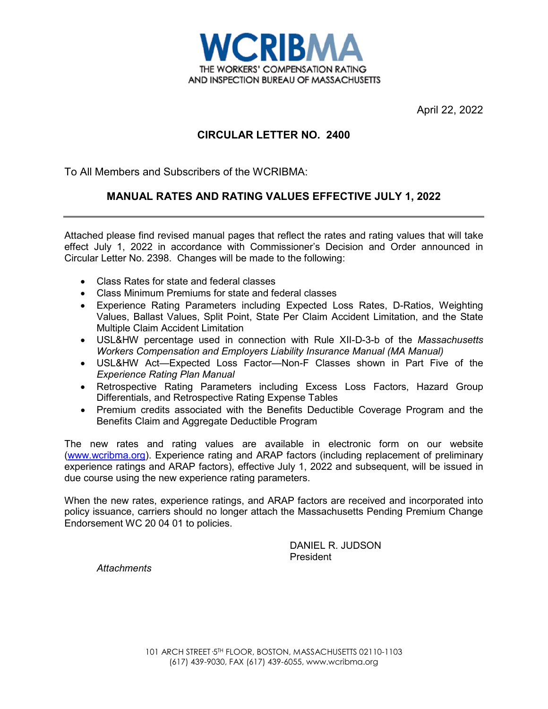

April 22, 2022

# **CIRCULAR LETTER NO. 2400**

To All Members and Subscribers of the WCRIBMA:

# **MANUAL RATES AND RATING VALUES EFFECTIVE JULY 1, 2022**

Attached please find revised manual pages that reflect the rates and rating values that will take effect July 1, 2022 in accordance with Commissioner's Decision and Order announced in Circular Letter No. 2398. Changes will be made to the following:

- Class Rates for state and federal classes
- Class Minimum Premiums for state and federal classes
- Experience Rating Parameters including Expected Loss Rates, D-Ratios, Weighting Values, Ballast Values, Split Point, State Per Claim Accident Limitation, and the State Multiple Claim Accident Limitation
- USL&HW percentage used in connection with Rule XII-D-3-b of the *Massachusetts Workers Compensation and Employers Liability Insurance Manual (MA Manual)*
- USL&HW Act—Expected Loss Factor—Non-F Classes shown in Part Five of the *Experience Rating Plan Manual*
- Retrospective Rating Parameters including Excess Loss Factors, Hazard Group Differentials, and Retrospective Rating Expense Tables
- Premium credits associated with the Benefits Deductible Coverage Program and the Benefits Claim and Aggregate Deductible Program

The new rates and rating values are available in electronic form on our website [\(www.wcribma.org\)](http://www.wcribma.org/). Experience rating and ARAP factors (including replacement of preliminary experience ratings and ARAP factors), effective July 1, 2022 and subsequent, will be issued in due course using the new experience rating parameters.

When the new rates, experience ratings, and ARAP factors are received and incorporated into policy issuance, carriers should no longer attach the Massachusetts Pending Premium Change Endorsement WC 20 04 01 to policies.

> DANIEL R. JUDSON President

*Attachments*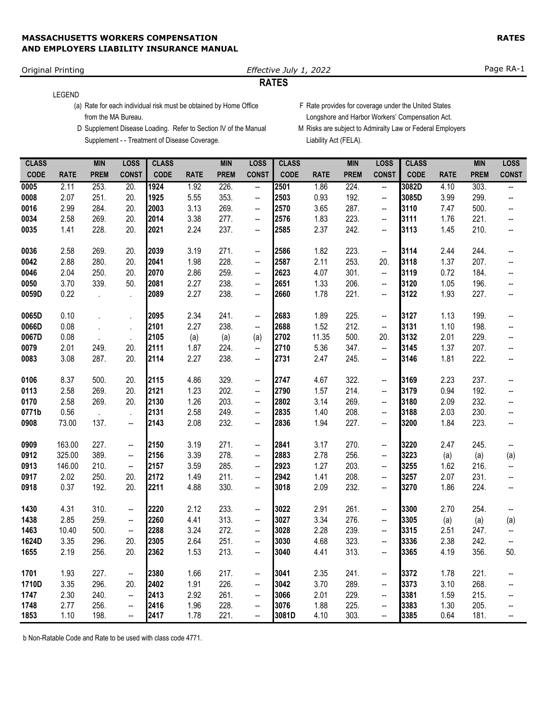# Original Printing *Effective July 1, 2022* Page RA-1

# **RATES**

### LEGEND

(a) Rate for each individual risk must be obtained by Home Office F Rate provides for coverage under the United States from the MA Bureau. Longshore and Harbor Workers' Compensation Act.

- Supplement - Treatment of Disease Coverage. <br>
Liability Act (FELA).
- 
- D Supplement Disease Loading. Refer to Section IV of the Manual M Risks are subject to Admiralty Law or Federal Employers

| <b>CLASS</b> |             | <b>MIN</b>  | <b>LOSS</b>  | <b>CLASS</b> |             | <b>MIN</b>  | <b>LOSS</b>              | <b>CLASS</b> |             | <b>MIN</b>  | <b>LOSS</b>  | <b>CLASS</b> |             | <b>MIN</b>  | <b>LOSS</b>              |
|--------------|-------------|-------------|--------------|--------------|-------------|-------------|--------------------------|--------------|-------------|-------------|--------------|--------------|-------------|-------------|--------------------------|
| CODE         | <b>RATE</b> | <b>PREM</b> | <b>CONST</b> | <b>CODE</b>  | <b>RATE</b> | <b>PREM</b> | <b>CONST</b>             | <b>CODE</b>  | <b>RATE</b> | <b>PREM</b> | <b>CONST</b> | <b>CODE</b>  | <b>RATE</b> | <b>PREM</b> | <b>CONST</b>             |
| 0005         | 2.11        | 253.        | 20.          | 1924         | 1.92        | 226.        | $\overline{\phantom{a}}$ | 2501         | 1.86        | 224.        | щ.           | 3082D        | 4.10        | 303.        | --                       |
| 0008         | 2.07        | 251.        | 20.          | 1925         | 5.55        | 353.        | $\overline{\phantom{a}}$ | 2503         | 0.93        | 192.        | --           | 3085D        | 3.99        | 299.        | --                       |
| 0016         | 2.99        | 284.        | 20.          | 2003         | 3.13        | 269.        | --                       | 2570         | 3.65        | 287.        | --           | 3110         | 7.47        | 500.        | $\overline{\phantom{a}}$ |
| 0034         | 2.58        | 269.        | 20.          | 2014         | 3.38        | 277.        | --                       | 2576         | 1.83        | 223.        | --           | 3111         | 1.76        | 221.        | --                       |
| 0035         | 1.41        | 228.        | 20.          | 2021         | 2.24        | 237.        | --                       | 2585         | 2.37        | 242.        | --           | 3113         | 1.45        | 210.        | --                       |
| 0036         | 2.58        | 269.        | 20.          | 2039         | 3.19        | 271.        | --                       | 2586         | 1.82        | 223.        | --           | 3114         | 2.44        | 244.        | $\overline{\phantom{a}}$ |
| 0042         | 2.88        | 280.        | 20.          | 2041         | 1.98        | 228.        | --                       | 2587         | 2.11        | 253.        | 20.          | 3118         | 1.37        | 207.        | $\overline{\phantom{a}}$ |
| 0046         | 2.04        | 250.        | 20.          | 2070         | 2.86        | 259.        | --                       | 2623         | 4.07        | 301.        | --           | 3119         | 0.72        | 184.        | $\overline{\phantom{a}}$ |
| 0050         | 3.70        | 339.        | 50.          | 2081         | 2.27        | 238.        | --                       | 2651         | 1.33        | 206.        | --           | 3120         | 1.05        | 196.        | --                       |
| 0059D        | 0.22        |             | $\cdot$      | 2089         | 2.27        | 238.        | --                       | 2660         | 1.78        | 221.        | --           | 3122         | 1.93        | 227.        | --                       |
| 0065D        | 0.10        |             | $\cdot$      | 2095         | 2.34        | 241.        | --                       | 2683         | 1.89        | 225.        | --           | 3127         | 1.13        | 199.        | --                       |
| 0066D        | 0.08        |             |              | 2101         | 2.27        | 238.        | $\overline{\phantom{a}}$ | 2688         | 1.52        | 212.        | --           | 3131         | 1.10        | 198.        | $\overline{\phantom{a}}$ |
| 0067D        | 0.08        |             |              | 2105         | (a)         | (a)         | (a)                      | 2702         | 11.35       | 500.        | 20.          | 3132         | 2.01        | 229.        | --                       |
| 0079         | 2.01        | 249.        | 20.          | 2111         | 1.87        | 224.        | --                       | 2710         | 5.36        | 347.        | --           | 3145         | 1.37        | 207.        | --                       |
| 0083         | 3.08        | 287.        | 20.          | 2114         | 2.27        | 238.        | --                       | 2731         | 2.47        | 245.        | --           | 3146         | 1.81        | 222.        | --                       |
| 0106         | 8.37        | 500.        | 20.          | 2115         | 4.86        | 329.        | --                       | 2747         | 4.67        | 322.        | --           | 3169         | 2.23        | 237.        | --                       |
| 0113         | 2.58        | 269.        | 20.          | 2121         | 1.23        | 202.        | --                       | 2790         | 1.57        | 214.        | --           | 3179         | 0.94        | 192.        | $\overline{\phantom{a}}$ |
| 0170         | 2.58        | 269.        | 20.          | 2130         | 1.26        | 203.        | --                       | 2802         | 3.14        | 269.        | --           | 3180         | 2.09        | 232.        | --                       |
| 0771b        | 0.56        | $\cdot$     | $\cdot$      | 2131         | 2.58        | 249.        | --                       | 2835         | 1.40        | 208.        | --           | 3188         | 2.03        | 230.        | --                       |
| 0908         | 73.00       | 137.        | --           | 2143         | 2.08        | 232.        | --                       | 2836         | 1.94        | 227.        | --           | 3200         | 1.84        | 223.        | --                       |
| 0909         | 163.00      | 227.        | --           | 2150         | 3.19        | 271.        | --                       | 2841         | 3.17        | 270.        | --           | 3220         | 2.47        | 245.        |                          |
| 0912         | 325.00      | 389.        | --           | 2156         | 3.39        | 278.        | --                       | 2883         | 2.78        | 256.        | --           | 3223         | (a)         | (a)         | (a)                      |
| 0913         | 146.00      | 210.        | --           | 2157         | 3.59        | 285.        | --                       | 2923         | 1.27        | 203.        | --           | 3255         | 1.62        | 216.        | $\overline{\phantom{a}}$ |
| 0917         | 2.02        | 250.        | 20.          | 2172         | 1.49        | 211.        | --                       | 2942         | 1.41        | 208.        | --           | 3257         | 2.07        | 231.        | --                       |
| 0918         | 0.37        | 192.        | 20.          | 2211         | 4.88        | 330.        | --                       | 3018         | 2.09        | 232.        | --           | 3270         | 1.86        | 224.        | Щ,                       |
| 1430         | 4.31        | 310.        | --           | 2220         | 2.12        | 233.        | --                       | 3022         | 2.91        | 261.        | --           | 3300         | 2.70        | 254.        |                          |
| 1438         | 2.85        | 259.        | --           | 2260         | 4.41        | 313.        | --                       | 3027         | 3.34        | 276.        | --           | 3305         | (a)         | (a)         | (a)                      |
| 1463         | 10.40       | 500.        | --           | 2288         | 3.24        | 272.        | --                       | 3028         | 2.28        | 239.        | --           | 3315         | 2.51        | 247.        | $\overline{\phantom{a}}$ |
| 1624D        | 3.35        | 296.        | 20.          | 2305         | 2.64        | 251.        | --                       | 3030         | 4.68        | 323.        | --           | 3336         | 2.38        | 242.        | --                       |
| 1655         | 2.19        | 256.        | 20.          | 2362         | 1.53        | 213.        | --                       | 3040         | 4.41        | 313.        | --           | 3365         | 4.19        | 356.        | 50.                      |
| 1701         | 1.93        | 227.        | ⊷            | 2380         | 1.66        | 217.        | --                       | 3041         | 2.35        | 241.        | --           | 3372         | 1.78        | 221.        |                          |
| 1710D        | 3.35        | 296.        | 20.          | 2402         | 1.91        | 226.        | --                       | 3042         | 3.70        | 289.        | --           | 3373         | 3.10        | 268.        |                          |
| 1747         | 2.30        | 240.        | --           | 2413         | 2.92        | 261.        | --                       | 3066         | 2.01        | 229.        | --           | 3381         | 1.59        | 215.        |                          |
| 1748         | 2.77        | 256.        | --           | 2416         | 1.96        | 228.        | --                       | 3076         | 1.88        | 225.        | --           | 3383         | 1.30        | 205.        |                          |
| 1853         | 1.10        | 198.        | -−           | 2417         | 1.78        | 221.        | --                       | 3081D        | 4.10        | 303.        | --           | 3385         | 0.64        | 181.        | $\hspace{0.05cm} \dashv$ |

b Non-Ratable Code and Rate to be used with class code 4771.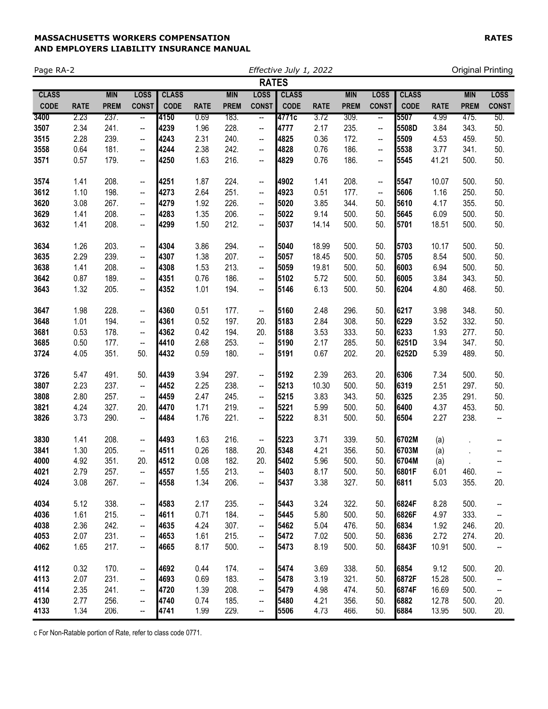| Page RA-2    |             |             |                          |              |             |             |                          | Effective July 1, 2022 |             |             |              |              |             |             | <b>Original Printing</b> |
|--------------|-------------|-------------|--------------------------|--------------|-------------|-------------|--------------------------|------------------------|-------------|-------------|--------------|--------------|-------------|-------------|--------------------------|
|              |             |             |                          |              |             |             | <b>RATES</b>             |                        |             |             |              |              |             |             |                          |
| <b>CLASS</b> |             | <b>MIN</b>  | <b>LOSS</b>              | <b>CLASS</b> |             | <b>MIN</b>  | <b>LOSS</b>              | <b>CLASS</b>           |             | <b>MIN</b>  | <b>LOSS</b>  | <b>CLASS</b> |             | <b>MIN</b>  | <b>LOSS</b>              |
| <b>CODE</b>  | <b>RATE</b> | <b>PREM</b> | <b>CONST</b>             | <b>CODE</b>  | <b>RATE</b> | <b>PREM</b> | <b>CONST</b>             | <b>CODE</b>            | <b>RATE</b> | <b>PREM</b> | <b>CONST</b> | <b>CODE</b>  | <b>RATE</b> | <b>PREM</b> | <b>CONST</b>             |
| 3400         | 2.23        | 237.        | $\overline{\phantom{a}}$ | 4150         | 0.69        | 183.        | $\overline{\phantom{a}}$ | 4771c                  | 3.72        | 309.        | --           | 5507         | 4.99        | 475.        | 50.                      |
| 3507         | 2.34        | 241.        | --                       | 4239         | 1.96        | 228.        | $\overline{\phantom{a}}$ | 4777                   | 2.17        | 235.        | --           | 5508D        | 3.84        | 343.        | 50.                      |
| 3515         | 2.28        | 239.        | ۰.                       | 4243         | 2.31        | 240.        | $\overline{\phantom{a}}$ | 4825                   | 0.36        | 172.        | --           | 5509         | 4.53        | 459.        | 50.                      |
| 3558         | 0.64        | 181.        | ۰.                       | 4244         | 2.38        | 242.        | --                       | 4828                   | 0.76        | 186.        | --           | 5538         | 3.77        | 341.        | 50.                      |
| 3571         | 0.57        | 179.        | ۰.                       | 4250         | 1.63        | 216.        | --                       | 4829                   | 0.76        | 186.        | --           | 5545         | 41.21       | 500.        | 50.                      |
| 3574         | 1.41        | 208.        | --                       | 4251         | 1.87        | 224.        | $\overline{\phantom{a}}$ | 4902                   | 1.41        | 208.        | --           | 5547         | 10.07       | 500.        | 50.                      |
| 3612         | 1.10        | 198.        | ۰.                       | 4273         | 2.64        | 251.        | $\overline{\phantom{a}}$ | 4923                   | 0.51        | 177.        | --           | 5606         | 1.16        | 250.        | 50.                      |
| 3620         | 3.08        | 267.        | ۰.                       | 4279         | 1.92        | 226.        | --                       | 5020                   | 3.85        | 344.        | 50.          | 5610         | 4.17        | 355.        | 50.                      |
| 3629         | 1.41        | 208.        | ۰.                       | 4283         | 1.35        | 206.        | --                       | 5022                   | 9.14        | 500.        | 50.          | 5645         | 6.09        | 500.        | 50.                      |
| 3632         | 1.41        | 208.        | --                       | 4299         | 1.50        | 212.        | --                       | 5037                   | 14.14       | 500.        | 50.          | 5701         | 18.51       | 500.        | 50.                      |
| 3634         | 1.26        | 203.        | --                       | 4304         | 3.86        | 294.        | $\overline{\phantom{a}}$ | 5040                   | 18.99       | 500.        | 50.          | 5703         | 10.17       | 500.        | 50.                      |
| 3635         | 2.29        | 239.        | ۰.                       | 4307         | 1.38        | 207.        | --                       | 5057                   | 18.45       | 500.        | 50.          | 5705         | 8.54        | 500.        | 50.                      |
| 3638         | 1.41        | 208.        | ۰.                       | 4308         | 1.53        | 213.        | --                       | 5059                   | 19.81       | 500.        | 50.          | 6003         | 6.94        | 500.        | 50.                      |
| 3642         | 0.87        | 189.        | --                       | 4351         | 0.76        | 186.        | --                       | 5102                   | 5.72        | 500.        | 50.          | 6005         | 3.84        | 343.        | 50.                      |
| 3643         | 1.32        | 205.        | --                       | 4352         | 1.01        | 194.        | --                       | 5146                   | 6.13        | 500.        | 50.          | 6204         | 4.80        | 468.        | 50.                      |
|              |             |             |                          |              |             |             |                          |                        |             |             |              |              |             |             |                          |
| 3647         | 1.98        | 228.        | --                       | 4360         | 0.51        | 177.        | $\overline{\phantom{a}}$ | 5160                   | 2.48        | 296.        | 50.          | 6217         | 3.98        | 348.        | 50.                      |
| 3648         | 1.01        | 194.        | ۰.                       | 4361         | 0.52        | 197.        | 20.                      | 5183                   | 2.84        | 308.        | 50.          | 6229         | 3.52        | 332.        | 50.                      |
| 3681         | 0.53        | 178.        | ۰.                       | 4362         | 0.42        | 194.        | 20.                      | 5188                   | 3.53        | 333.        | 50.          | 6233         | 1.93        | 277.        | 50.                      |
| 3685         | 0.50        | 177.        | ۰.                       | 4410         | 2.68        | 253.        | $\overline{\phantom{a}}$ | 5190                   | 2.17        | 285.        | 50.          | 6251D        | 3.94        | 347.        | 50.                      |
| 3724         | 4.05        | 351.        | 50.                      | 4432         | 0.59        | 180.        | $\overline{\phantom{a}}$ | 5191                   | 0.67        | 202.        | 20.          | 6252D        | 5.39        | 489.        | 50.                      |
| 3726         | 5.47        | 491.        | 50.                      | 4439         | 3.94        | 297.        | $\overline{\phantom{a}}$ | 5192                   | 2.39        | 263.        | 20.          | 6306         | 7.34        | 500.        | 50.                      |
| 3807         | 2.23        | 237.        | $\overline{\phantom{a}}$ | 4452         | 2.25        | 238.        | --                       | 5213                   | 10.30       | 500.        | 50.          | 6319         | 2.51        | 297.        | 50.                      |
| 3808         | 2.80        | 257.        | --                       | 4459         | 2.47        | 245.        | --                       | 5215                   | 3.83        | 343.        | 50.          | 6325         | 2.35        | 291.        | 50.                      |
| 3821         | 4.24        | 327.        | 20.                      | 4470         | 1.71        | 219.        | --                       | 5221                   | 5.99        | 500.        | 50.          | 6400         | 4.37        | 453.        | 50.                      |
| 3826         | 3.73        | 290.        | $\overline{\phantom{a}}$ | 4484         | 1.76        | 221.        | --                       | 5222                   | 8.31        | 500.        | 50.          | 6504         | 2.27        | 238.        | $\overline{\phantom{a}}$ |
| 3830         | 1.41        | 208.        | --                       | 4493         | 1.63        | 216.        | $\overline{\phantom{a}}$ | 5223                   | 3.71        | 339.        | 50.          | 6702M        | (a)         |             | --                       |
| 3841         | 1.30        | 205.        | $\overline{\phantom{a}}$ | 4511         | 0.26        | 188.        | 20.                      | 5348                   | 4.21        | 356.        | 50.          | 6703M        | (a)         |             | ÷                        |
| 4000         | 4.92        | 351.        | 20.                      | 4512         | 0.08        | 182.        | 20.                      | 5402                   | 5.96        | 500.        | 50.          | 6704M        | (a)         |             | --                       |
| 4021         | 2.79        | 257.        | --                       | 4557         | 1.55        | 213.        | --                       | 5403                   | 8.17        | 500.        | 50.          | 6801F        | 6.01        | 460.        |                          |
| 4024         | 3.08        | 267.        | --                       | 4558         | 1.34        | 206.        | --                       | 5437                   | 3.38        | 327.        | 50.          | 6811         | 5.03        | 355.        | 20.                      |
| 4034         | 5.12        | 338.        | --                       | 4583         | 2.17        | 235.        | --                       | 5443                   | 3.24        | 322.        | 50.          | 6824F        | 8.28        | 500.        | --                       |
| 4036         | 1.61        | 215.        | --                       | 4611         | 0.71        | 184.        | --                       | 5445                   | 5.80        | 500.        | 50.          | 6826F        | 4.97        | 333.        | --                       |
| 4038         | 2.36        | 242.        | --                       | 4635         | 4.24        | 307.        | --                       | 5462                   | 5.04        | 476.        | 50.          | 6834         | 1.92        | 246.        | 20.                      |
| 4053         | 2.07        | 231.        | --                       | 4653         | 1.61        | 215.        | --                       | 5472                   | 7.02        | 500.        | 50.          | 6836         | 2.72        | 274.        | 20.                      |
| 4062         | 1.65        | 217.        | --                       | 4665         | 8.17        | 500.        | --                       | 5473                   | 8.19        | 500.        | 50.          | 6843F        | 10.91       | 500.        | $\overline{\phantom{a}}$ |
| 4112         | 0.32        | 170.        | $\overline{\phantom{a}}$ | 4692         | 0.44        | 174.        | --                       | 5474                   | 3.69        | 338.        | 50.          | 6854         | 9.12        | 500.        | 20.                      |
| 4113         | 2.07        | 231.        | --                       | 4693         | 0.69        | 183.        | --                       | 5478                   | 3.19        | 321.        | 50.          | 6872F        | 15.28       | 500.        | --                       |
| 4114         | 2.35        | 241.        | --                       | 4720         | 1.39        | 208.        | --                       | 5479                   | 4.98        | 474.        | 50.          | 6874F        | 16.69       | 500.        | --                       |
| 4130         | 2.77        | 256.        | $\qquad \qquad \cdots$   | 4740         | 0.74        | 185.        | --                       | 5480                   | 4.21        | 356.        | 50.          | 6882         | 12.78       | 500.        | 20.                      |
| 4133         | 1.34        | 206.        | ۰.                       | 4741         | 1.99        | 229.        | --                       | 5506                   | 4.73        | 466.        | 50.          | 6884         | 13.95       | 500.        | 20.                      |

c For Non-Ratable portion of Rate, refer to class code 0771.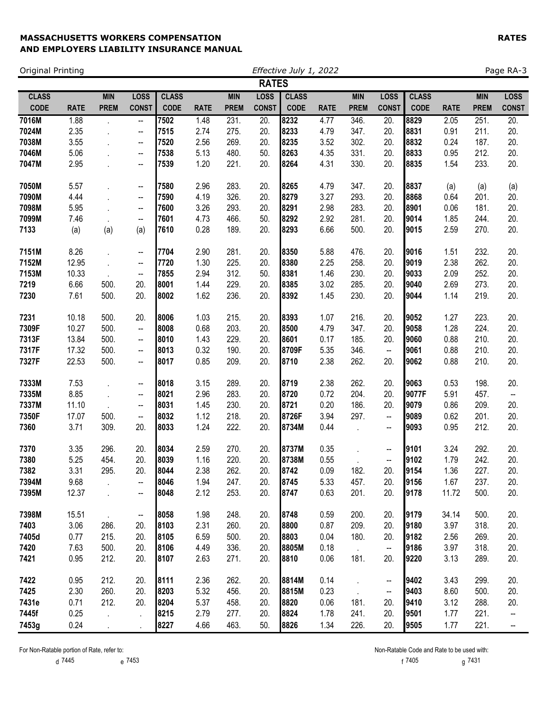| Original Printing |             |                      |                          |              |             |             |              | Effective July 1, 2022 |             |             |                          |              |             |             | Page RA-3                |  |
|-------------------|-------------|----------------------|--------------------------|--------------|-------------|-------------|--------------|------------------------|-------------|-------------|--------------------------|--------------|-------------|-------------|--------------------------|--|
|                   |             |                      |                          |              |             |             | <b>RATES</b> |                        |             |             |                          |              |             |             |                          |  |
| <b>CLASS</b>      |             | <b>MIN</b>           | <b>LOSS</b>              | <b>CLASS</b> |             | <b>MIN</b>  | <b>LOSS</b>  | <b>CLASS</b>           |             | <b>MIN</b>  | <b>LOSS</b>              | <b>CLASS</b> |             | <b>MIN</b>  | <b>LOSS</b>              |  |
| <b>CODE</b>       | <b>RATE</b> | <b>PREM</b>          | <b>CONST</b>             | <b>CODE</b>  | <b>RATE</b> | <b>PREM</b> | <b>CONST</b> | <b>CODE</b>            | <b>RATE</b> | <b>PREM</b> | <b>CONST</b>             | <b>CODE</b>  | <b>RATE</b> | <b>PREM</b> | <b>CONST</b>             |  |
| 7016M             | 1.88        | à.                   | --                       | 7502         | 1.48        | 231.        | 20.          | 8232                   | 4.77        | 346.        | 20.                      | 8829         | 2.05        | 251.        | 20.                      |  |
| 7024M             | 2.35        |                      | --                       | 7515         | 2.74        | 275.        | 20.          | 8233                   | 4.79        | 347.        | 20.                      | 8831         | 0.91        | 211.        | 20.                      |  |
| 7038M             | 3.55        |                      | --                       | 7520         | 2.56        | 269.        | 20.          | 8235                   | 3.52        | 302.        | 20.                      | 8832         | 0.24        | 187.        | 20.                      |  |
| 7046M             | 5.06        |                      | --                       | 7538         | 5.13        | 480.        | 50.          | 8263                   | 4.35        | 331.        | 20.                      | 8833         | 0.95        | 212.        | 20.                      |  |
| 7047M             | 2.95        |                      | $\overline{\phantom{a}}$ | 7539         | 1.20        | 221.        | 20.          | 8264                   | 4.31        | 330.        | 20.                      | 8835         | 1.54        | 233.        | 20.                      |  |
| 7050M             | 5.57        |                      | --                       | 7580         | 2.96        | 283.        | 20.          | 8265                   | 4.79        | 347.        | 20.                      | 8837         | (a)         | (a)         | (a)                      |  |
| 7090M             | 4.44        |                      | --                       | 7590         | 4.19        | 326.        | 20.          | 8279                   | 3.27        | 293.        | 20.                      | 8868         | 0.64        | 201.        | 20.                      |  |
| 7098M             | 5.95        |                      | $\overline{\phantom{a}}$ | 7600         | 3.26        | 293.        | 20.          | 8291                   | 2.98        | 283.        | 20.                      | 8901         | 0.06        | 181.        | 20.                      |  |
| 7099M             | 7.46        |                      | --                       | 7601         | 4.73        | 466.        | 50.          | 8292                   | 2.92        | 281.        | 20.                      | 9014         | 1.85        | 244.        | 20.                      |  |
| 7133              | (a)         | (a)                  | (a)                      | 7610         | 0.28        | 189.        | 20.          | 8293                   | 6.66        | 500.        | 20.                      | 9015         | 2.59        | 270.        | 20.                      |  |
| 7151M             | 8.26        |                      | --                       | 7704         | 2.90        | 281.        | 20.          | 8350                   | 5.88        | 476.        | 20.                      | 9016         | 1.51        | 232.        | 20.                      |  |
| 7152M             | 12.95       |                      | $\overline{\phantom{a}}$ | 7720         | 1.30        | 225.        | 20.          | 8380                   | 2.25        | 258.        | 20.                      | 9019         | 2.38        | 262.        | 20.                      |  |
| 7153M             | 10.33       | $\cdot$              | --                       | 7855         | 2.94        | 312.        | 50.          | 8381                   | 1.46        | 230.        | 20.                      | 9033         | 2.09        | 252.        | 20.                      |  |
| 7219              | 6.66        | 500.                 | 20.                      | 8001         | 1.44        | 229.        | 20.          | 8385                   | 3.02        | 285.        | 20.                      | 9040         | 2.69        | 273.        | 20.                      |  |
| 7230              | 7.61        | 500.                 | 20.                      | 8002         | 1.62        | 236.        | 20.          | 8392                   | 1.45        | 230.        | 20.                      | 9044         | 1.14        | 219.        | 20.                      |  |
| 7231              | 10.18       | 500.                 | 20.                      | 8006         | 1.03        | 215.        | 20.          | 8393                   | 1.07        | 216.        | 20.                      | 9052         | 1.27        | 223.        | 20.                      |  |
| 7309F             | 10.27       | 500.                 | $\overline{\phantom{a}}$ | 8008         | 0.68        | 203.        | 20.          | 8500                   | 4.79        | 347.        | 20.                      | 9058         | 1.28        | 224.        | 20.                      |  |
| 7313F             | 13.84       | 500.                 | --                       | 8010         | 1.43        | 229.        | 20.          | 8601                   | 0.17        | 185.        | 20.                      | 9060         | 0.88        | 210.        | 20.                      |  |
| 7317F             | 17.32       | 500.                 | --                       | 8013         | 0.32        | 190.        | 20.          | 8709F                  | 5.35        | 346.        | $\overline{\phantom{a}}$ | 9061         | 0.88        | 210.        | 20.                      |  |
| 7327F             | 22.53       | 500.                 | −−                       | 8017         | 0.85        | 209.        | 20.          | 8710                   | 2.38        | 262.        | 20.                      | 9062         | 0.88        | 210.        | 20.                      |  |
| 7333M             | 7.53        |                      | -−                       | 8018         | 3.15        | 289.        | 20.          | 8719                   | 2.38        | 262.        | 20.                      | 9063         | 0.53        | 198.        | 20.                      |  |
| 7335M             | 8.85        | $\ddot{\phantom{a}}$ | --                       | 8021         | 2.96        | 283.        | 20.          | 8720                   | 0.72        | 204.        | 20.                      | 9077F        | 5.91        | 457.        | --                       |  |
| 7337M             | 11.10       |                      | --                       | 8031         | 1.45        | 230.        | 20.          | 8721                   | 0.20        | 186.        | 20.                      | 9079         | 0.86        | 209.        | 20.                      |  |
| 7350F             | 17.07       | 500.                 | --                       | 8032         | 1.12        | 218.        | 20.          | 8726F                  | 3.94        | 297.        | --                       | 9089         | 0.62        | 201.        | 20.                      |  |
| 7360              | 3.71        | 309.                 | 20.                      | 8033         | 1.24        | 222.        | 20.          | 8734M                  | 0.44        |             | -−                       | 9093         | 0.95        | 212.        | 20.                      |  |
| 7370              | 3.35        | 296.                 | 20.                      | 8034         | 2.59        | 270.        | 20.          | 8737M                  | 0.35        |             | -−                       | 9101         | 3.24        | 292.        | 20.                      |  |
| 7380              | 5.25        | 454.                 | 20.                      | 8039         | 1.16        | 220.        | 20.          | 8738M                  | 0.55        |             | --                       | 9102         | 1.79        | 242.        | 20.                      |  |
| 7382              | 3.31        | 295.                 | 20.                      | 8044         | 2.38        | 262.        | 20.          | 8742                   | 0.09        | 182.        | 20.                      | 9154         | 1.36        | 227.        | 20.                      |  |
| 7394M             | 9.68        |                      | --                       | 8046         | 1.94        | 247.        | 20.          | 8745                   | 5.33        | 457.        | 20.                      | 9156         | 1.67        | 237.        | 20.                      |  |
| 7395M             | 12.37       |                      | --                       | 8048         | 2.12        | 253.        | 20.          | 8747                   | 0.63        | 201.        | 20.                      | 9178         | 11.72       | 500.        | 20.                      |  |
| 7398M             | 15.51       |                      | $\overline{\phantom{a}}$ | 8058         | 1.98        | 248.        | 20.          | 8748                   | 0.59        | 200.        | 20.                      | 9179         | 34.14       | 500.        | 20.                      |  |
| 7403              | 3.06        | 286.                 | 20.                      | 8103         | 2.31        | 260.        | 20.          | 8800                   | 0.87        | 209.        | 20.                      | 9180         | 3.97        | 318.        | 20.                      |  |
| 7405d             | 0.77        | 215.                 | 20.                      | 8105         | 6.59        | 500.        | 20.          | 8803                   | 0.04        | 180.        | 20.                      | 9182         | 2.56        | 269.        | 20.                      |  |
| 7420              | 7.63        | 500.                 | 20.                      | 8106         | 4.49        | 336.        | 20.          | 8805M                  | 0.18        |             | --                       | 9186         | 3.97        | 318.        | 20.                      |  |
| 7421              | 0.95        | 212.                 | 20.                      | 8107         | 2.63        | 271.        | 20.          | 8810                   | 0.06        | 181.        | 20.                      | 9220         | 3.13        | 289.        | 20.                      |  |
| 7422              | 0.95        | 212.                 | 20.                      | 8111         | 2.36        | 262.        | 20.          | 8814M                  | 0.14        |             | -−                       | 9402         | 3.43        | 299.        | 20.                      |  |
| 7425              | 2.30        | 260.                 | 20.                      | 8203         | 5.32        | 456.        | 20.          | 8815M                  | 0.23        |             | --                       | 9403         | 8.60        | 500.        | 20.                      |  |
| 7431e             | 0.71        | 212.                 | 20.                      | 8204         | 5.37        | 458.        | 20.          | 8820                   | 0.06        | 181.        | 20.                      | 9410         | 3.12        | 288.        | 20.                      |  |
| 7445f             | 0.25        |                      |                          | 8215         | 2.79        | 277.        | 20.          | 8824                   | 1.78        | 241.        | 20.                      | 9501         | 1.77        | 221.        | --                       |  |
| 7453g             | 0.24        |                      |                          | 8227         | 4.66        | 463.        | 50.          | 8826                   | 1.34        | 226.        | 20.                      | 9505         | 1.77        | 221.        | $\overline{\phantom{a}}$ |  |

d 7445 e 7453 f 7405 g 7431

For Non-Ratable portion of Rate, refer to:  $N$ on-Ratable Code and Rate to be used with: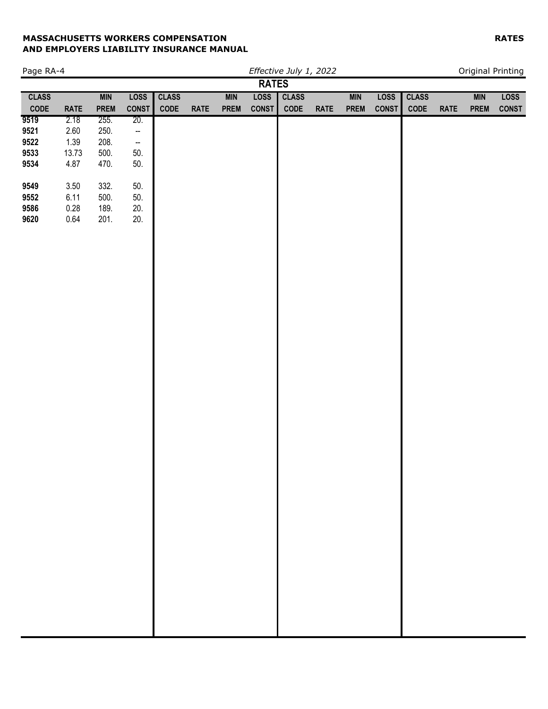| Page RA-4       |             |             |                          |                 |             |             |              | Effective July 1, 2022 |             |             |              |              |             |            | Original Printing |
|-----------------|-------------|-------------|--------------------------|-----------------|-------------|-------------|--------------|------------------------|-------------|-------------|--------------|--------------|-------------|------------|-------------------|
|                 |             |             |                          |                 |             |             | <b>RATES</b> |                        |             |             |              |              |             |            |                   |
| <b>CLASS</b>    |             | <b>MIN</b>  | <b>LOSS</b>              | <b>CLASS</b>    |             | <b>MIN</b>  | <b>LOSS</b>  | <b>CLASS</b>           |             | <b>MIN</b>  | <b>LOSS</b>  | <b>CLASS</b> |             | <b>MIN</b> | <b>LOSS</b>       |
| $\mathsf{CODE}$ | <b>RATE</b> | <b>PREM</b> | <b>CONST</b>             | $\mathsf{CODE}$ | <b>RATE</b> | <b>PREM</b> | <b>CONST</b> | CODE                   | <b>RATE</b> | <b>PREM</b> | <b>CONST</b> | CODE         | <b>RATE</b> | PREM       | <b>CONST</b>      |
| 9519            | 2.18        | 255.        | 20.                      |                 |             |             |              |                        |             |             |              |              |             |            |                   |
| 9521            | 2.60        | 250.        | $\overline{\phantom{a}}$ |                 |             |             |              |                        |             |             |              |              |             |            |                   |
| 9522            | 1.39        | 208.        | −−                       |                 |             |             |              |                        |             |             |              |              |             |            |                   |
| 9533            | 13.73       | 500.        | 50.                      |                 |             |             |              |                        |             |             |              |              |             |            |                   |
| 9534            | 4.87        | 470.        | 50.                      |                 |             |             |              |                        |             |             |              |              |             |            |                   |
|                 |             |             |                          |                 |             |             |              |                        |             |             |              |              |             |            |                   |
| 9549            | 3.50        | 332.        | 50.                      |                 |             |             |              |                        |             |             |              |              |             |            |                   |
| 9552            | 6.11        | 500.        | 50.                      |                 |             |             |              |                        |             |             |              |              |             |            |                   |
| 9586            | 0.28        | 189.        | 20.                      |                 |             |             |              |                        |             |             |              |              |             |            |                   |
| 9620            | 0.64        | 201.        | 20.                      |                 |             |             |              |                        |             |             |              |              |             |            |                   |
|                 |             |             |                          |                 |             |             |              |                        |             |             |              |              |             |            |                   |
|                 |             |             |                          |                 |             |             |              |                        |             |             |              |              |             |            |                   |
|                 |             |             |                          |                 |             |             |              |                        |             |             |              |              |             |            |                   |
|                 |             |             |                          |                 |             |             |              |                        |             |             |              |              |             |            |                   |
|                 |             |             |                          |                 |             |             |              |                        |             |             |              |              |             |            |                   |
|                 |             |             |                          |                 |             |             |              |                        |             |             |              |              |             |            |                   |
|                 |             |             |                          |                 |             |             |              |                        |             |             |              |              |             |            |                   |
|                 |             |             |                          |                 |             |             |              |                        |             |             |              |              |             |            |                   |
|                 |             |             |                          |                 |             |             |              |                        |             |             |              |              |             |            |                   |
|                 |             |             |                          |                 |             |             |              |                        |             |             |              |              |             |            |                   |
|                 |             |             |                          |                 |             |             |              |                        |             |             |              |              |             |            |                   |
|                 |             |             |                          |                 |             |             |              |                        |             |             |              |              |             |            |                   |
|                 |             |             |                          |                 |             |             |              |                        |             |             |              |              |             |            |                   |
|                 |             |             |                          |                 |             |             |              |                        |             |             |              |              |             |            |                   |
|                 |             |             |                          |                 |             |             |              |                        |             |             |              |              |             |            |                   |
|                 |             |             |                          |                 |             |             |              |                        |             |             |              |              |             |            |                   |
|                 |             |             |                          |                 |             |             |              |                        |             |             |              |              |             |            |                   |
|                 |             |             |                          |                 |             |             |              |                        |             |             |              |              |             |            |                   |
|                 |             |             |                          |                 |             |             |              |                        |             |             |              |              |             |            |                   |
|                 |             |             |                          |                 |             |             |              |                        |             |             |              |              |             |            |                   |
|                 |             |             |                          |                 |             |             |              |                        |             |             |              |              |             |            |                   |
|                 |             |             |                          |                 |             |             |              |                        |             |             |              |              |             |            |                   |
|                 |             |             |                          |                 |             |             |              |                        |             |             |              |              |             |            |                   |
|                 |             |             |                          |                 |             |             |              |                        |             |             |              |              |             |            |                   |
|                 |             |             |                          |                 |             |             |              |                        |             |             |              |              |             |            |                   |
|                 |             |             |                          |                 |             |             |              |                        |             |             |              |              |             |            |                   |
|                 |             |             |                          |                 |             |             |              |                        |             |             |              |              |             |            |                   |
|                 |             |             |                          |                 |             |             |              |                        |             |             |              |              |             |            |                   |
|                 |             |             |                          |                 |             |             |              |                        |             |             |              |              |             |            |                   |
|                 |             |             |                          |                 |             |             |              |                        |             |             |              |              |             |            |                   |
|                 |             |             |                          |                 |             |             |              |                        |             |             |              |              |             |            |                   |
|                 |             |             |                          |                 |             |             |              |                        |             |             |              |              |             |            |                   |
|                 |             |             |                          |                 |             |             |              |                        |             |             |              |              |             |            |                   |
|                 |             |             |                          |                 |             |             |              |                        |             |             |              |              |             |            |                   |
|                 |             |             |                          |                 |             |             |              |                        |             |             |              |              |             |            |                   |
|                 |             |             |                          |                 |             |             |              |                        |             |             |              |              |             |            |                   |
|                 |             |             |                          |                 |             |             |              |                        |             |             |              |              |             |            |                   |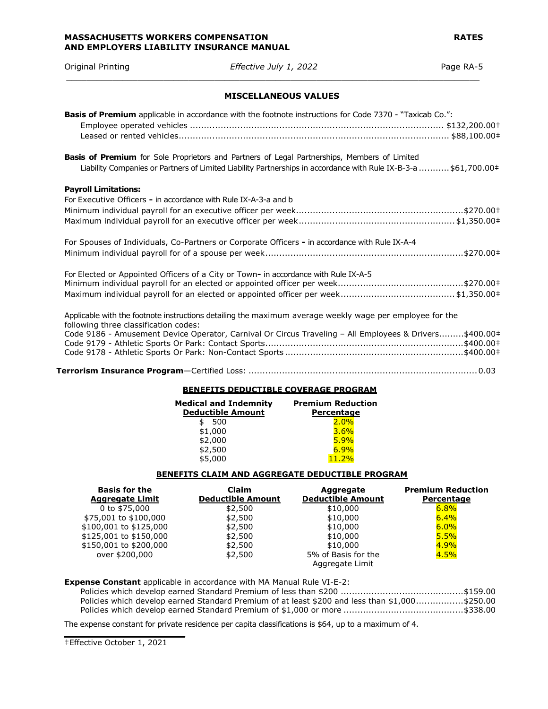Original Printing *Effective July 1, 2022* Page RA-5 \_\_\_\_\_\_\_\_\_\_\_\_\_\_\_\_\_\_\_\_\_\_\_\_\_\_\_\_\_\_\_\_\_\_\_\_\_\_\_\_\_\_\_\_\_\_\_\_\_\_\_\_\_\_\_\_\_\_\_\_\_\_\_\_\_\_\_\_\_\_\_\_\_\_\_\_\_\_\_\_\_

# **MISCELLANEOUS VALUES**

| Basis of Premium applicable in accordance with the footnote instructions for Code 7370 - "Taxicab Co.":                                                                                                                |  |
|------------------------------------------------------------------------------------------------------------------------------------------------------------------------------------------------------------------------|--|
| <b>Basis of Premium</b> for Sole Proprietors and Partners of Legal Partnerships, Members of Limited<br>Liability Companies or Partners of Limited Liability Partnerships in accordance with Rule IX-B-3-a \$61,700.00+ |  |
| <b>Payroll Limitations:</b>                                                                                                                                                                                            |  |
| For Executive Officers - in accordance with Rule IX-A-3-a and b                                                                                                                                                        |  |
|                                                                                                                                                                                                                        |  |
|                                                                                                                                                                                                                        |  |
| For Spouses of Individuals, Co-Partners or Corporate Officers - in accordance with Rule IX-A-4                                                                                                                         |  |
|                                                                                                                                                                                                                        |  |
| For Elected or Appointed Officers of a City or Town- in accordance with Rule IX-A-5                                                                                                                                    |  |
|                                                                                                                                                                                                                        |  |
|                                                                                                                                                                                                                        |  |
| Applicable with the footnote instructions detailing the maximum average weekly wage per employee for the                                                                                                               |  |
| following three classification codes:                                                                                                                                                                                  |  |
| Code 9186 - Amusement Device Operator, Carnival Or Circus Traveling - All Employees & Drivers\$400.00‡                                                                                                                 |  |
|                                                                                                                                                                                                                        |  |
|                                                                                                                                                                                                                        |  |

# **BENEFITS DEDUCTIBLE COVERAGE PROGRAM**

| <b>Premium Reduction</b><br>Percentage |
|----------------------------------------|
| 2.0%                                   |
| 3.6%                                   |
| 5.9%                                   |
| 6.9%                                   |
| 11.2%                                  |
|                                        |

### **BENEFITS CLAIM AND AGGREGATE DEDUCTIBLE PROGRAM**

| <b>Basis for the</b><br><b>Aggregate Limit</b> | <b>Claim</b><br><b>Deductible Amount</b> | Aggregate<br><b>Deductible Amount</b> | <b>Premium Reduction</b><br>Percentage |
|------------------------------------------------|------------------------------------------|---------------------------------------|----------------------------------------|
|                                                |                                          |                                       |                                        |
| 0 to \$75,000                                  | \$2,500                                  | \$10,000                              | 6.8%                                   |
| \$75,001 to \$100,000                          | \$2,500                                  | \$10,000                              | 6.4%                                   |
| \$100,001 to \$125,000                         | \$2,500                                  | \$10,000                              | $6.0\%$                                |
| \$125,001 to \$150,000                         | \$2,500                                  | \$10,000                              | 5.5%                                   |
| \$150,001 to \$200,000                         | \$2,500                                  | \$10,000                              | 4.9%                                   |
| over \$200,000                                 | \$2,500                                  | 5% of Basis for the                   | 4.5%                                   |
|                                                |                                          | Aggregate Limit                       |                                        |

**Expense Constant** applicable in accordance with MA Manual Rule VI-E-2:

|  | Policies which develop earned Standard Premium of at least \$200 and less than \$1,000\$250.00 |  |
|--|------------------------------------------------------------------------------------------------|--|
|  |                                                                                                |  |

The expense constant for private residence per capita classifications is \$64, up to a maximum of 4.

 $\frac{1}{2}$  ,  $\frac{1}{2}$  ,  $\frac{1}{2}$  ,  $\frac{1}{2}$  ,  $\frac{1}{2}$  ,  $\frac{1}{2}$  ,  $\frac{1}{2}$  ,  $\frac{1}{2}$  ,  $\frac{1}{2}$  ,  $\frac{1}{2}$  ,  $\frac{1}{2}$  ,  $\frac{1}{2}$  ,  $\frac{1}{2}$  ,  $\frac{1}{2}$  ,  $\frac{1}{2}$  ,  $\frac{1}{2}$  ,  $\frac{1}{2}$  ,  $\frac{1}{2}$  ,  $\frac{1$ 

<sup>‡</sup>Effective October 1, 2021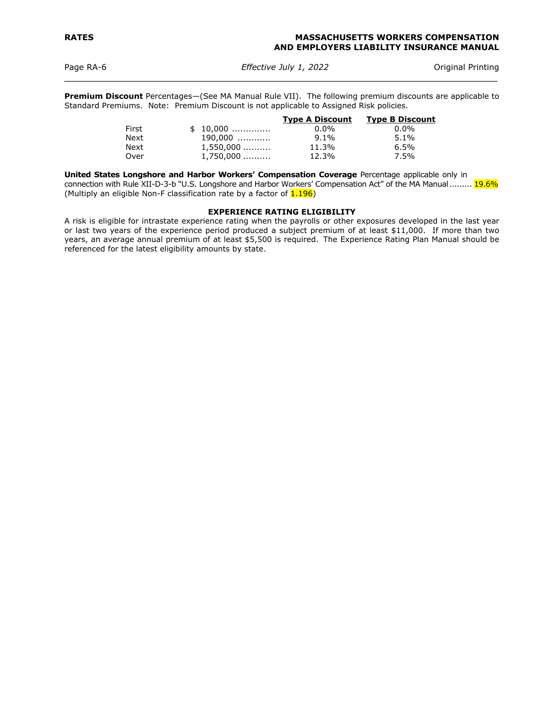Page RA-6*Effective July 1, 2022* Original Printing  $\mathcal{L}_\mathcal{L} = \mathcal{L}_\mathcal{L} = \mathcal{L}_\mathcal{L} = \mathcal{L}_\mathcal{L} = \mathcal{L}_\mathcal{L} = \mathcal{L}_\mathcal{L} = \mathcal{L}_\mathcal{L} = \mathcal{L}_\mathcal{L} = \mathcal{L}_\mathcal{L} = \mathcal{L}_\mathcal{L} = \mathcal{L}_\mathcal{L} = \mathcal{L}_\mathcal{L} = \mathcal{L}_\mathcal{L} = \mathcal{L}_\mathcal{L} = \mathcal{L}_\mathcal{L} = \mathcal{L}_\mathcal{L} = \mathcal{L}_\mathcal{L}$ 

**Premium Discount** Percentages—(See MA Manual Rule VII). The following premium discounts are applicable to Standard Premiums. Note: Premium Discount is not applicable to Assigned Risk policies.

|             |             | <b>Type A Discount</b> | <b>Type B Discount</b> |
|-------------|-------------|------------------------|------------------------|
| First       | $$10,000$   | $0.0\%$                | $0.0\%$                |
| <b>Next</b> | 190,000     | $9.1\%$                | $5.1\%$                |
| Next        | $1,550,000$ | 11.3%                  | 6.5%                   |
| Over        | 1,750,000   | 12.3%                  | 7.5%                   |

**United States Longshore and Harbor Workers' Compensation Coverage** Percentage applicable only in connection with Rule XII-D-3-b "U.S. Longshore and Harbor Workers' Compensation Act" of the MA Manual ......... 19.6% (Multiply an eligible Non-F classification rate by a factor of  $1.196$ )

# **EXPERIENCE RATING ELIGIBILITY**

A risk is eligible for intrastate experience rating when the payrolls or other exposures developed in the last year or last two years of the experience period produced a subject premium of at least \$11,000. If more than two years, an average annual premium of at least \$5,500 is required. The Experience Rating Plan Manual should be referenced for the latest eligibility amounts by state.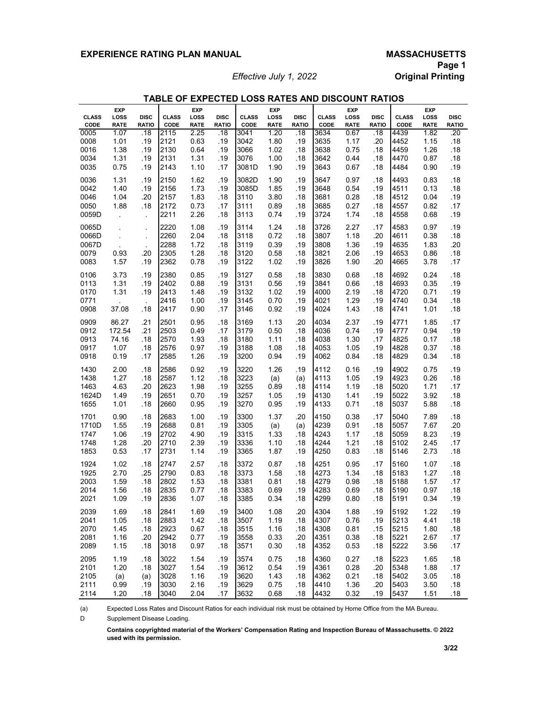# EXPERIENCE RATING PLAN MANUAL **MASSACHUSETTS**

*Effective July 1, 2022* 

| TABLE OF EXPECTED LOSS RATES AND DISCOUNT RATIOS |  |  |  |
|--------------------------------------------------|--|--|--|
|--------------------------------------------------|--|--|--|

|              | <b>EXP</b>           |                      |              | <b>EXP</b>  |              |              | <b>EXP</b>  |              |              | <b>EXP</b>  |              |              | <b>EXP</b>  |              |
|--------------|----------------------|----------------------|--------------|-------------|--------------|--------------|-------------|--------------|--------------|-------------|--------------|--------------|-------------|--------------|
| <b>CLASS</b> | LOSS                 | <b>DISC</b>          | <b>CLASS</b> | LOSS        | <b>DISC</b>  | <b>CLASS</b> | LOSS        | <b>DISC</b>  | <b>CLASS</b> | LOSS        | <b>DISC</b>  | <b>CLASS</b> | LOSS        | <b>DISC</b>  |
| CODE         | <b>RATE</b>          | <b>RATIO</b>         | CODE         | <b>RATE</b> | <b>RATIO</b> | CODE         | <b>RATE</b> | <b>RATIO</b> | CODE         | <b>RATE</b> | <b>RATIO</b> | CODE         | <b>RATE</b> | <b>RATIO</b> |
| 0005         | 1.07                 | .18                  | 2115         | 2.25        | .18          | 3041         | 1.20        | .18          | 3634         | 0.67        | .18          | 4439         | 1.82        | .20          |
| 0008         | 1.01                 | .19                  | 2121         | 0.63        | .19          | 3042         | 1.80        | .19          | 3635         | 1.17        | .20          | 4452         | 1.15        | .18          |
| 0016         | 1.38                 | .19                  | 2130         | 0.64        | .19          | 3066         | 1.02        | .18          | 3638         | 0.75        | .18          | 4459         | 1.26        | .18          |
| 0034         | 1.31                 | .19                  | 2131         | 1.31        | .19          | 3076         | 1.00        | .18          | 3642         | 0.44        | .18          | 4470         | 0.87        | .18          |
|              |                      |                      | 2143         |             |              |              |             |              |              |             |              |              |             |              |
| 0035         | 0.75                 | .19                  |              | 1.10        | .17          | 3081D        | 1.90        | .19          | 3643         | 0.67        | .18          | 4484         | 0.90        | .19          |
| 0036         | 1.31                 | .19                  | 2150         | 1.62        | .19          | 3082D        | 1.90        | .19          | 3647         | 0.97        | .18          | 4493         | 0.83        | .18          |
| 0042         | 1.40                 | .19                  | 2156         | 1.73        | .19          | 3085D        | 1.85        | .19          | 3648         | 0.54        | .19          | 4511         | 0.13        | .18          |
| 0046         | 1.04                 | .20                  | 2157         | 1.83        | .18          | 3110         | 3.80        | .18          | 3681         | 0.28        | .18          | 4512         | 0.04        | .19          |
| 0050         | 1.88                 | .18                  | 2172         | 0.73        | .17          | 3111         | 0.89        | .18          | 3685         | 0.27        | .18          | 4557         | 0.82        | .17          |
| 0059D        |                      |                      | 2211         | 2.26        | .18          | 3113         | 0.74        | .19          | 3724         | 1.74        |              | 4558         | 0.68        | .19          |
|              | $\ddot{\phantom{0}}$ | ¥.                   |              |             |              |              |             |              |              |             | .18          |              |             |              |
| 0065D        | ÷.                   | $\epsilon$           | 2220         | 1.08        | .19          | 3114         | 1.24        | .18          | 3726         | 2.27        | .17          | 4583         | 0.97        | .19          |
| 0066D        | $\ddot{\phantom{a}}$ | $\ddot{\phantom{0}}$ | 2260         | 2.04        | .18          | 3118         | 0.72        | .18          | 3807         | 1.18        | .20          | 4611         | 0.38        | .18          |
| 0067D        |                      | $\mathbf{r}$         | 2288         | 1.72        | .18          | 3119         | 0.39        | .19          | 3808         | 1.36        | .19          | 4635         | 1.83        | .20          |
| 0079         | 0.93                 | .20                  | 2305         | 1.28        | .18          | 3120         | 0.58        | .18          | 3821         | 2.06        | .19          | 4653         | 0.86        | .18          |
| 0083         | 1.57                 | .19                  | 2362         | 0.78        | .19          | 3122         |             |              | 3826         | 1.90        | .20          |              | 3.78        | .17          |
|              |                      |                      |              |             |              |              | 1.02        | .19          |              |             |              | 4665         |             |              |
| 0106         | 3.73                 | .19                  | 2380         | 0.85        | .19          | 3127         | 0.58        | .18          | 3830         | 0.68        | .18          | 4692         | 0.24        | .18          |
| 0113         | 1.31                 | .19                  | 2402         | 0.88        | .19          | 3131         | 0.56        | .19          | 3841         | 0.66        | .18          | 4693         | 0.35        | .19          |
| 0170         | 1.31                 | .19                  | 2413         | 1.48        | .19          | 3132         | 1.02        | .19          | 4000         | 2.19        | .18          | 4720         | 0.71        | .19          |
| 0771         |                      |                      | 2416         | 1.00        | .19          | 3145         | 0.70        | .19          | 4021         | 1.29        | .19          | 4740         | 0.34        | .18          |
| 0908         |                      | $\bar{z}$            | 2417         | 0.90        |              | 3146         | 0.92        |              | 4024         | 1.43        | .18          |              | 1.01        | .18          |
|              | 37.08                | .18                  |              |             | .17          |              |             | .19          |              |             |              | 4741         |             |              |
| 0909         | 86.27                | .21                  | 2501         | 0.95        | .18          | 3169         | 1.13        | .20          | 4034         | 2.37        | .19          | 4771         | 1.85        | .17          |
| 0912         | 172.54               | .21                  | 2503         | 0.49        | .17          | 3179         | 0.50        | .18          | 4036         | 0.74        | .19          | 4777         | 0.94        | .19          |
| 0913         | 74.16                | .18                  | 2570         | 1.93        | .18          | 3180         | 1.11        | .18          | 4038         | 1.30        | .17          | 4825         | 0.17        | .18          |
| 0917         | 1.07                 | .18                  | 2576         | 0.97        | .19          | 3188         | 1.08        | .18          | 4053         | 1.05        | .19          | 4828         | 0.37        | .18          |
| 0918         | 0.19                 | .17                  | 2585         | 1.26        | .19          | 3200         | 0.94        | .19          | 4062         | 0.84        | .18          | 4829         | 0.34        | .18          |
|              |                      |                      |              |             |              |              |             |              |              |             |              |              |             |              |
| 1430         | 2.00                 | .18                  | 2586         | 0.92        | .19          | 3220         | 1.26        | .19          | 4112         | 0.16        | .19          | 4902         | 0.75        | .19          |
| 1438         | 1.27                 | .18                  | 2587         | 1.12        | .18          | 3223         | (a)         | (a)          | 4113         | 1.05        | .19          | 4923         | 0.26        | .18          |
| 1463         | 4.63                 | .20                  | 2623         | 1.98        | .19          | 3255         | 0.89        | .18          | 4114         | 1.19        | .18          | 5020         | 1.71        | .17          |
| 1624D        | 1.49                 | .19                  | 2651         | 0.70        | .19          | 3257         | 1.05        | .19          | 4130         | 1.41        | .19          | 5022         | 3.92        | .18          |
| 1655         | 1.01                 | .18                  | 2660         | 0.95        | .19          | 3270         | 0.95        | .19          | 4133         | 0.71        | .18          | 5037         | 5.88        | .18          |
|              |                      |                      |              |             |              |              |             |              |              |             |              |              |             |              |
| 1701         | 0.90                 | .18                  | 2683         | 1.00        | .19          | 3300         | 1.37        | .20          | 4150         | 0.38        | .17          | 5040         | 7.89        | .18          |
| 1710D        | 1.55                 | .19                  | 2688         | 0.81        | .19          | 3305         | (a)         | (a)          | 4239         | 0.91        | .18          | 5057         | 7.67        | .20          |
| 1747         | 1.06                 | .19                  | 2702         | 4.90        | .19          | 3315         | 1.33        | .18          | 4243         | 1.17        | .18          | 5059         | 8.23        | .19          |
| 1748         | 1.28                 | .20                  | 2710         | 2.39        | .19          | 3336         | 1.10        | .18          | 4244         | 1.21        | .18          | 5102         | 2.45        | .17          |
| 1853         | 0.53                 | .17                  | 2731         | 1.14        | .19          | 3365         | 1.87        | .19          | 4250         | 0.83        | .18          | 5146         | 2.73        | .18          |
|              |                      |                      |              |             |              |              |             |              |              |             |              |              |             |              |
| 1924         | 1.02                 | .18                  | 2747         | 2.57        | .18          | 3372         | 0.87        | .18          | 4251         | 0.95        | .17          | 5160         | 1.07        | .18          |
| 1925         | 2.70                 | .25                  | 2790         | 0.83        | .18          | 3373         | 1.58        | .18          | 4273         | 1.34        | .18          | 5183         | 1.27        | .18          |
| 2003         | 1.59                 | .18                  | 2802         | 1.53        | .18          | 3381         | 0.81        | .18          | 4279         | 0.98        | .18          | 5188         | 1.57        | .17          |
| 2014         | 1.56                 | .18                  | 2835         | 0.77        | .18          | 3383         | 0.69        | .19          | 4283         | 0.69        | .18          | 5190         | 0.97        | .18          |
| 2021         | 1.09                 | .19                  | 2836         | 1.07        | .18          | 3385         | 0.34        | .18          | 4299         | 0.80        | .18          | 5191         | 0.34        | .19          |
|              |                      |                      |              |             |              |              |             |              |              |             |              |              |             |              |
| 2039         | 1.69                 | .18                  | 2841         | 1.69        | .19          | 3400         | 1.08        | .20          | 4304         | 1.88        | .19          | 5192         | 1.22        | .19          |
| 2041         | 1.05                 | .18                  | 2883         | 1.42        | .18          | 3507         | 1.19        | .18          | 4307         | 0.76        | .19          | 5213         | 4.41        | .18          |
| 2070         | 1.45                 | .18                  | 2923         | 0.67        | .18          | 3515         | 1.16        | .18          | 4308         | 0.81        | .15          | 5215         | 1.80        | .18          |
| 2081         | 1.16                 | .20                  | 2942         | 0.77        | .19          | 3558         | 0.33        | .20          | 4351         | 0.38        | .18          | 5221         | 2.67        | .17          |
| 2089         | 1.15                 | .18                  | 3018         | 0.97        | .18          | 3571         | 0.30        | .18          | 4352         | 0.53        | .18          | 5222         | 3.56        | .17          |
|              |                      |                      |              |             |              |              |             |              |              |             |              |              |             |              |
| 2095         | 1.19                 | .18                  | 3022         | 1.54        | .19          | 3574         | 0.75        | .18          | 4360         | 0.27        | .18          | 5223         | 1.65        | .18          |
| 2101         | 1.20                 | .18                  | 3027         | 1.54        | .19          | 3612         | 0.54        | .19          | 4361         | 0.28        | .20          | 5348         | 1.88        | .17          |
| 2105         | (a)                  | (a)                  | 3028         | 1.16        | .19          | 3620         | 1.43        | .18          | 4362         | 0.21        | .18          | 5402         | 3.05        | .18          |
| 2111         | 0.99                 | .19                  | 3030         | 2.16        | .19          | 3629         | 0.75        | .18          | 4410         | 1.36        | .20          | 5403         | 3.50        | .18          |
| 2114         | 1.20                 | .18                  | 3040         | 2.04        | .17          | 3632         | 0.68        | .18          | 4432         | 0.32        | .19          | 5437         | 1.51        | .18          |
|              |                      |                      |              |             |              |              |             |              |              |             |              |              |             |              |

(a) Expected Loss Rates and Discount Ratios for each individual risk must be obtained by Home Office from the MA Bureau.

 $\mathsf D$ Supplement Disease Loading.

> **Contains copyrighted material of the Workers' Compensation Rating and Inspection Bureau of Massachusetts. © 2022 used with its permission.**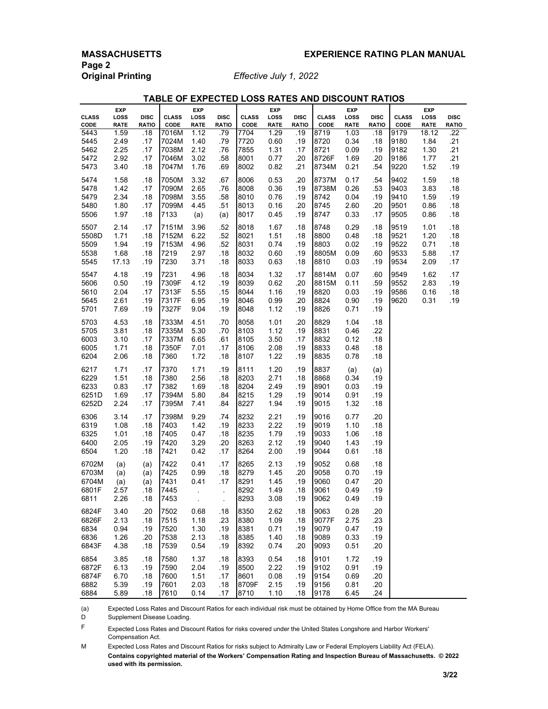**Page 2 Original Printing** *Effective July 1, 2022*

| TABLE OF EXPECTED LOSS RATES AND DISCOUNT RATIOS |  |
|--------------------------------------------------|--|
|--------------------------------------------------|--|

|                      | <b>EXP</b>          |                             |                      | <b>EXP</b>           |                             |                      | <b>EXP</b>          |                             |                      | <b>EXP</b>          |                             |                      | <b>EXP</b>                 |                             |
|----------------------|---------------------|-----------------------------|----------------------|----------------------|-----------------------------|----------------------|---------------------|-----------------------------|----------------------|---------------------|-----------------------------|----------------------|----------------------------|-----------------------------|
| <b>CLASS</b><br>CODE | LOSS<br><b>RATE</b> | <b>DISC</b><br><b>RATIO</b> | <b>CLASS</b><br>CODE | LOSS<br><b>RATE</b>  | <b>DISC</b><br><b>RATIO</b> | <b>CLASS</b><br>CODE | LOSS<br><b>RATE</b> | <b>DISC</b><br><b>RATIO</b> | <b>CLASS</b><br>CODE | LOSS<br><b>RATE</b> | <b>DISC</b><br><b>RATIO</b> | <b>CLASS</b><br>CODE | <b>LOSS</b><br><b>RATE</b> | <b>DISC</b><br><b>RATIO</b> |
| 5443                 | 1.59                | .18                         | 7016M                | 1.12                 | .79                         | 7704                 | 1.29                | .19                         | 8719                 | 1.03                | .18                         | 9179                 | 18.12                      | .22                         |
| 5445                 | 2.49                | .17                         | 7024M                | 1.40                 | .79                         | 7720                 | 0.60                | .19                         | 8720                 | 0.34                | .18                         | 9180                 | 1.84                       | .21                         |
| 5462                 | 2.25                | .17                         | 7038M                | 2.12                 | .76                         | 7855                 | 1.31                | .17                         | 8721                 | 0.09                | .19                         | 9182                 | 1.30                       | .21                         |
| 5472                 | 2.92                | .17                         | 7046M                | 3.02                 | .58                         | 8001                 | 0.77                | .20                         | 8726F                | 1.69                | .20                         | 9186                 | 1.77                       | .21                         |
| 5473                 | 3.40                | .18                         | 7047M                | 1.76                 | .69                         | 8002                 | 0.82                | .21                         | 8734M                | 0.21                | .54                         | 9220                 | 1.52                       | .19                         |
| 5474                 | 1.58                | .18                         | 7050M                | 3.32                 | .67                         | 8006                 | 0.53                | .20                         | 8737M                | 0.17                | .54                         | 9402                 | 1.59                       | .18                         |
| 5478                 | 1.42                | .17                         | 7090M                | 2.65                 | .76                         | 8008                 | 0.36                | .19                         | 8738M                | 0.26                | .53                         | 9403                 | 3.83                       | .18                         |
| 5479                 | 2.34                | .18                         | 7098M                | 3.55                 | .58                         | 8010                 | 0.76                | .19                         | 8742                 | 0.04                | .19                         | 9410                 | 1.59                       | .19                         |
| 5480                 | 1.80                | .17                         | 7099M                | 4.45                 | .51                         | 8013                 | 0.16                | .20                         | 8745                 | 2.60                | .20                         | 9501                 | 0.86                       | .18                         |
| 5506                 | 1.97                | .18                         | 7133                 | (a)                  | (a)                         | 8017                 | 0.45                | .19                         | 8747                 | 0.33                | .17                         | 9505                 | 0.86                       | .18                         |
| 5507                 | 2.14                | .17                         | 7151M                | 3.96                 | .52                         | 8018                 | 1.67                | .18                         | 8748                 | 0.29                | .18                         | 9519                 | 1.01                       | .18                         |
| 5508D                | 1.71                | .18                         | 7152M                | 6.22                 | .52                         | 8021                 | 1.51                | .18                         | 8800                 | 0.48                | .18                         | 9521                 | 1.20                       | .18                         |
| 5509                 | 1.94                | .19                         | 7153M                | 4.96                 | .52                         | 8031                 | 0.74                | .19                         | 8803                 | 0.02                | .19                         | 9522                 | 0.71                       | .18                         |
| 5538                 | 1.68<br>17.13       | .18<br>.19                  | 7219<br>7230         | 2.97<br>3.71         | .18                         | 8032<br>8033         | 0.60<br>0.63        | .19                         | 8805M<br>8810        | 0.09<br>0.03        | .60                         | 9533<br>9534         | 5.88<br>2.09               | .17<br>.17                  |
| 5545                 |                     |                             |                      |                      | .18                         |                      |                     | .18                         |                      |                     | .19                         |                      |                            |                             |
| 5547                 | 4.18                | .19                         | 7231                 | 4.96                 | .18                         | 8034                 | 1.32                | .17                         | 8814M                | 0.07                | .60                         | 9549                 | 1.62                       | .17                         |
| 5606                 | 0.50                | .19                         | 7309F                | 4.12                 | .19                         | 8039                 | 0.62                | .20                         | 8815M                | 0.11                | .59                         | 9552                 | 2.83                       | .19                         |
| 5610                 | 2.04                | .17                         | 7313F                | 5.55                 | .15                         | 8044                 | 1.16                | .19                         | 8820                 | 0.03                | .19                         | 9586                 | 0.16                       | .18                         |
| 5645                 | 2.61<br>7.69        | .19<br>.19                  | 7317F<br>7327F       | 6.95<br>9.04         | .19<br>.19                  | 8046                 | 0.99                | .20<br>.19                  | 8824<br>8826         | 0.90<br>0.71        | .19<br>.19                  | 9620                 | 0.31                       | .19                         |
| 5701                 |                     |                             |                      |                      |                             | 8048                 | 1.12                |                             |                      |                     |                             |                      |                            |                             |
| 5703                 | 4.53                | .18                         | 7333M                | 4.51                 | .70                         | 8058                 | 1.01                | .20                         | 8829                 | 1.04                | .18                         |                      |                            |                             |
| 5705<br>6003         | 3.81<br>3.10        | .18<br>.17                  | 7335M<br>7337M       | 5.30<br>6.65         | .70<br>.61                  | 8103<br>8105         | 1.12<br>3.50        | .19<br>.17                  | 8831<br>8832         | 0.46<br>0.12        | .22<br>.18                  |                      |                            |                             |
| 6005                 | 1.71                | .18                         | 7350F                | 7.01                 | .17                         | 8106                 | 2.08                | .19                         | 8833                 | 0.48                | .18                         |                      |                            |                             |
| 6204                 | 2.06                | .18                         | 7360                 | 1.72                 | .18                         | 8107                 | 1.22                | .19                         | 8835                 | 0.78                | .18                         |                      |                            |                             |
| 6217                 | 1.71                | .17                         | 7370                 | 1.71                 | .19                         | 8111                 | 1.20                | .19                         | 8837                 | (a)                 | (a)                         |                      |                            |                             |
| 6229                 | 1.51                | .18                         | 7380                 | 2.56                 | .18                         | 8203                 | 2.71                | .18                         | 8868                 | 0.34                | .19                         |                      |                            |                             |
| 6233                 | 0.83                | .17                         | 7382                 | 1.69                 | .18                         | 8204                 | 2.49                | .19                         | 8901                 | 0.03                | .19                         |                      |                            |                             |
| 6251D                | 1.69                | .17                         | 7394M                | 5.80                 | .84                         | 8215                 | 1.29                | .19                         | 9014                 | 0.91                | .19                         |                      |                            |                             |
| 6252D                | 2.24                | .17                         | 7395M                | 7.41                 | .84                         | 8227                 | 1.94                | .19                         | 9015                 | 1.32                | .18                         |                      |                            |                             |
| 6306                 | 3.14                | .17                         | 7398M                | 9.29                 | .74                         | 8232                 | 2.21                | .19                         | 9016                 | 0.77                | .20                         |                      |                            |                             |
| 6319                 | 1.08                | .18                         | 7403                 | 1.42                 | .19                         | 8233                 | 2.22                | .19                         | 9019                 | 1.10                | .18                         |                      |                            |                             |
| 6325                 | 1.01                | .18                         | 7405                 | 0.47                 | .18                         | 8235                 | 1.79                | .19                         | 9033                 | 1.06                | .18                         |                      |                            |                             |
| 6400                 | 2.05                | .19                         | 7420                 | 3.29                 | .20                         | 8263                 | 2.12                | .19                         | 9040                 | 1.43                | .19                         |                      |                            |                             |
| 6504                 | 1.20                | .18                         | 7421                 | 0.42                 | .17                         | 8264                 | 2.00                | .19                         | 9044                 | 0.61                | .18                         |                      |                            |                             |
| 6702M                | (a)                 | (a)                         | 7422                 | 0.41                 | .17                         | 8265                 | 2.13                | .19                         | 9052                 | 0.68                | .18                         |                      |                            |                             |
| 6703M                | (a)                 | (a)                         | 7425                 | 0.99                 | .18                         | 8279                 | 1.45                | .20                         | 9058                 | 0.70                | .19                         |                      |                            |                             |
| 6704M                | (a)                 | (a)                         | 7431                 | 0.41                 | .17                         | 8291                 | 1.45                | .19                         | 9060                 | 0.47                | .20                         |                      |                            |                             |
| 6801F                | 2.57                | .18                         | 7445                 | ÷.                   | $\ddot{\phantom{a}}$        | 8292                 | 1.49                | .18                         | 9061                 | 0.49                | .19                         |                      |                            |                             |
| 6811                 | 2.26                | .18                         | 7453                 | $\ddot{\phantom{1}}$ | ä,                          | 8293                 | 3.08                | .19                         | 9062                 | 0.49                | .19                         |                      |                            |                             |
| 6824F                | 3.40                | .20                         | 7502                 | 0.68                 | .18                         | 8350                 | 2.62                | .18                         | 9063                 | 0.28                | .20                         |                      |                            |                             |
| 6826F                | 2.13                | .18                         | 7515                 | 1.18                 | .23                         | 8380                 | 1.09                | .18                         | 9077F                | 2.75                | .23                         |                      |                            |                             |
| 6834                 | 0.94                | .19                         | 7520                 | 1.30                 | .19                         | 8381                 | 0.71                | .19                         | 9079                 | 0.47                | .19                         |                      |                            |                             |
| 6836<br>6843F        | 1.26<br>4.38        | .20<br>.18                  | 7538<br>7539         | 2.13<br>0.54         | .18<br>.19                  | 8385<br>8392         | 1.40<br>0.74        | .18<br>.20                  | 9089<br>9093         | 0.33<br>0.51        | .19<br>.20                  |                      |                            |                             |
|                      |                     |                             |                      |                      |                             |                      |                     |                             |                      |                     |                             |                      |                            |                             |
| 6854<br>6872F        | 3.85<br>6.13        | .18<br>.19                  | 7580<br>7590         | 1.37<br>2.04         | .18<br>.19                  | 8393<br>8500         | 0.54<br>2.22        | .18<br>.19                  | 9101<br>9102         | 1.72<br>0.91        | .19<br>.19                  |                      |                            |                             |
| 6874F                | 6.70                | .18                         | 7600                 | 1.51                 | .17                         | 8601                 | 0.08                | .19                         | 9154                 | 0.69                | .20                         |                      |                            |                             |
| 6882                 | 5.39                | .19                         | 7601                 | 2.03                 | .18                         | 8709F                | 2.15                | .19                         | 9156                 | 0.81                | .20                         |                      |                            |                             |
| 6884                 | 5.89                | .18                         | 7610                 | 0.14                 | .17                         | 8710                 | 1.10                | .18                         | 9178                 | 6.45                | .24                         |                      |                            |                             |

(a) Expected Loss Rates and Discount Ratios for each individual risk must be obtained by Home Office from the MA Bureau D Supplement Disease Loading.

F Expected Loss Rates and Discount Ratios for risks covered under the United States Longshore and Harbor Workers' Compensation Act.

M Expected Loss Rates and Discount Ratios for risks subject to Admiralty Law or Federal Employers Liability Act (FELA). **Contains copyrighted material of the Workers' Compensation Rating and Inspection Bureau of Massachusetts. © 2022 used with its permission.**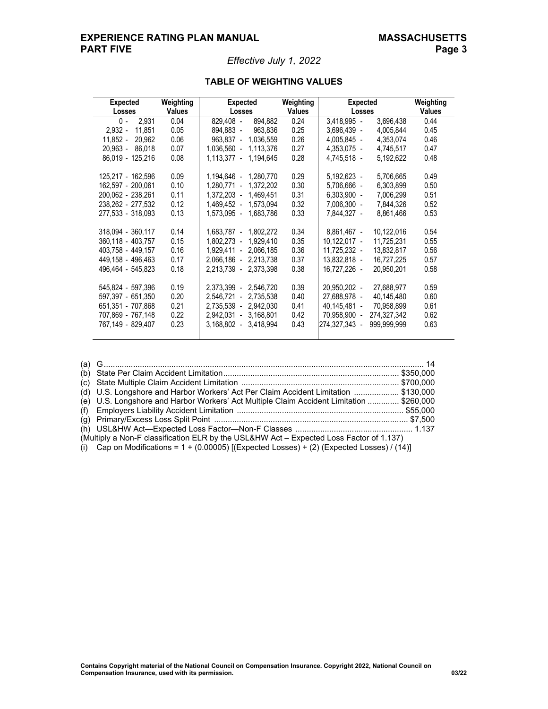# **EXPERIENCE RATING PLAN MANUAL MASSACHUSETTS PART FIVE** PART PROPERTY AND PAGE 3

# *Effective July 1, 2022*

| <b>Expected</b><br>Losses | Weighting<br><b>Values</b> | Expected<br><b>Losses</b>                | Weighting<br><b>Values</b> | <b>Expected</b><br>Losses |             | Weighting<br><b>Values</b> |
|---------------------------|----------------------------|------------------------------------------|----------------------------|---------------------------|-------------|----------------------------|
| $0 -$<br>2.931            | 0.04                       | 829.408 -<br>894,882                     | 0.24                       | $3,418,995 -$             | 3,696,438   | 0.44                       |
| $2,932 -$<br>11.851       | 0.05                       | 894,883 -<br>963,836                     | 0.25                       | 3,696,439 -               | 4,005,844   | 0.45                       |
| 11,852 -<br>20,962        | 0.06                       | 1,036,559<br>$963.837 -$                 | 0.26                       | 4,005,845 -               | 4,353,074   | 0.46                       |
| $20.963 -$<br>86.018      | 0.07                       | $1.036.560 -$<br>1,113,376               | 0.27                       | 4,353,075 -               | 4,745,517   | 0.47                       |
| 86,019 - 125,216          | 0.08                       | $1,113,377 -$<br>1,194,645               | 0.28                       | 4,745,518 -               | 5,192,622   | 0.48                       |
| 125,217 - 162,596         | 0.09                       | 1,194,646 -<br>1,280,770                 | 0.29                       | 5,192,623 -               | 5,706,665   | 0.49                       |
| 162.597 - 200.061         | 0.10                       | 1,372,202<br>$1,280,771 -$               | 0.30                       | 5,706,666 -               | 6,303,899   | 0.50                       |
| 200,062 - 238,261         | 0.11                       | 1,372,203 -<br>1,469,451                 | 0.31                       | $6,303,900 -$             | 7,006,299   | 0.51                       |
| 238.262 - 277.532         | 0.12                       | 1.573.094<br>1.469.452 -                 | 0.32                       | 7,006,300 -               | 7,844,326   | 0.52                       |
| 277,533 - 318,093         | 0.13                       | 1,573,095 -<br>1,683,786                 | 0.33                       | 7,844,327 -               | 8,861,466   | 0.53                       |
| 318,094 - 360,117         | 0.14                       | 1,683,787 -<br>1,802,272                 | 0.34                       | 8,861,467 -               | 10,122,016  | 0.54                       |
| 360,118 - 403,757         | 0.15                       | 1,929,410<br>$1,802,273 -$               | 0.35                       | $10,122,017 -$            | 11,725,231  | 0.55                       |
| 403.758 - 449.157         | 0.16                       | $1.929.411 -$<br>2,066,185               | 0.36                       | 11,725,232 -              | 13,832,817  | 0.56                       |
| 449,158 - 496,463         | 0.17                       | $2,066,186 -$<br>2,213,738               | 0.37                       | 13,832,818 -              | 16,727,225  | 0.57                       |
| 496,464 - 545,823         | 0.18                       | $2.213.739 -$<br>2,373,398               | 0.38                       | 16,727,226 -              | 20,950,201  | 0.58                       |
| 545.824 - 597.396         | 0.19                       | 2,546,720<br>2.373.399<br>$\mathbf{r}$   | 0.39                       | 20.950.202 -              | 27,688,977  | 0.59                       |
| 597,397 - 651,350         | 0.20                       | 2,735,538<br>2,546,721<br>$\blacksquare$ | 0.40                       | 27,688,978 -              | 40,145,480  | 0.60                       |
| 651.351 - 707.868         | 0.21                       | $2.735.539 -$<br>2.942.030               | 0.41                       | 40,145,481 -              | 70,958,899  | 0.61                       |
| 707,869 - 767,148         | 0.22                       | 3,168,801<br>2,942,031<br>$\mathbb{Z}^2$ | 0.42                       | 70,958,900 -              | 274,327,342 | 0.62                       |
| 767.149 - 829.407         | 0.23                       | 3,418,994<br>3,168,802<br>$\blacksquare$ | 0.43                       | 274,327,343 -             | 999,999,999 | 0.63                       |

# **TABLE OF WEIGHTING VALUES**

| (d) U.S. Longshore and Harbor Workers' Act Per Claim Accident Limitation  \$130,000           |  |
|-----------------------------------------------------------------------------------------------|--|
| (e) U.S. Longshore and Harbor Workers' Act Multiple Claim Accident Limitation  \$260,000      |  |
|                                                                                               |  |
|                                                                                               |  |
|                                                                                               |  |
| (Multiply a Non-F classification ELR by the USL&HW Act - Expected Loss Factor of 1.137)       |  |
| (i) Cap on Modifications = $1 + (0.00005)$ [(Expected Losses) + (2) (Expected Losses) / (14)] |  |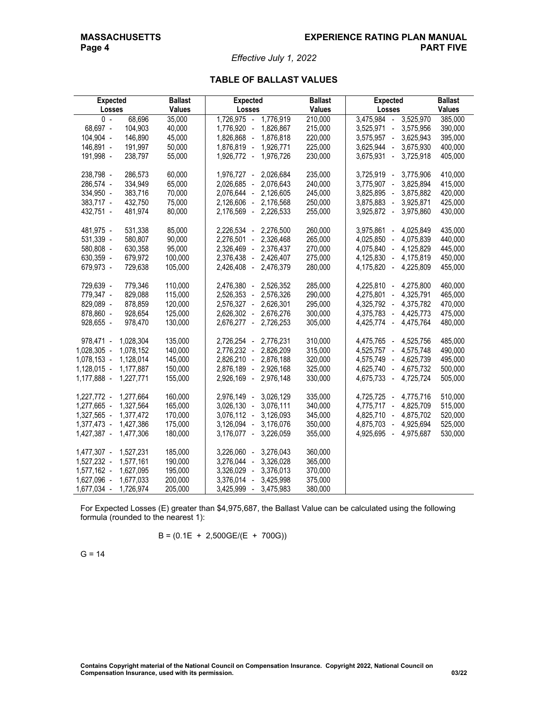*Effective July 1, 2022*

# **TABLE OF BALLAST VALUES**

| <b>Expected</b> |           | <b>Ballast</b> | <b>Expected</b>                  | <b>Ballast</b> | <b>Expected</b>                                       | <b>Ballast</b> |
|-----------------|-----------|----------------|----------------------------------|----------------|-------------------------------------------------------|----------------|
| Losses          |           | <b>Values</b>  | Losses                           | <b>Values</b>  | Losses                                                | Values         |
| $0 -$           | 68,696    | 35,000         | 1,726,975<br>1,776,919<br>$\sim$ | 210,000        | 3,475,984<br>3,525,970<br>$\mathcal{L}_{\mathcal{A}}$ | 385,000        |
| 68,697 -        | 104,903   | 40,000         | 1,776,920 -<br>1,826,867         | 215,000        | 3,525,971<br>3,575,956<br>$\blacksquare$              | 390,000        |
| 104,904 -       | 146,890   | 45,000         | 1,826,868 -<br>1,876,818         | 220,000        | 3,575,957 -<br>3,625,943                              | 395,000        |
| 146,891 -       | 191,997   | 50,000         | 1,876,819 -<br>1,926,771         | 225,000        | 3,625,944 -<br>3,675,930                              | 400,000        |
| 191,998 -       | 238,797   | 55,000         | 1,926,772 -<br>1,976,726         | 230,000        | 3,675,931 -<br>3,725,918                              | 405,000        |
|                 |           |                |                                  |                |                                                       |                |
| 238,798 -       | 286,573   | 60,000         | 1,976,727 -<br>2,026,684         | 235,000        | 3,725,919 -<br>3,775,906                              | 410,000        |
| 286,574 -       | 334,949   | 65,000         | 2,026,685 -<br>2,076,643         | 240,000        | 3,775,907 -<br>3,825,894                              | 415,000        |
| 334,950 -       | 383,716   | 70,000         | 2,126,605<br>2,076,644 -         | 245,000        | 3,825,895 -<br>3,875,882                              | 420,000        |
| 383,717 -       | 432,750   | 75,000         | 2,126,606 -<br>2,176,568         | 250,000        | 3,875,883 -<br>3,925,871                              | 425,000        |
| 432,751 -       | 481,974   | 80,000         | 2,226,533<br>2,176,569 -         | 255,000        | 3,925,872 -<br>3,975,860                              | 430,000        |
| 481,975 -       | 531,338   | 85,000         | 2,226,534 -<br>2,276,500         | 260,000        | 3,975,861<br>4,025,849<br>$\overline{\phantom{a}}$    | 435,000        |
| 531,339 -       | 580,807   | 90,000         | 2,326,468<br>2,276,501<br>$\sim$ | 265,000        | 4,025,850<br>4,075,839<br>$\overline{\phantom{a}}$    | 440,000        |
| 580,808 -       | 630,358   | 95,000         | 2,326,469 -<br>2,376,437         | 270,000        | 4,075,840 -<br>4,125,829                              | 445,000        |
| 630,359 -       | 679,972   | 100,000        | 2,376,438 -<br>2,426,407         | 275,000        | 4,125,830 -<br>4,175,819                              | 450,000        |
| 679,973 -       | 729,638   | 105,000        | 2,426,408 -<br>2,476,379         | 280,000        | 4,175,820<br>4,225,809<br>$\blacksquare$              | 455,000        |
|                 |           |                |                                  |                |                                                       |                |
| 729,639 -       | 779,346   | 110,000        | 2,476,380 -<br>2,526,352         | 285,000        | 4,275,800<br>4,225,810 -                              | 460,000        |
| 779,347 -       | 829,088   | 115,000        | 2,526,353 -<br>2,576,326         | 290,000        | 4,325,791<br>4,275,801 -                              | 465,000        |
| 829,089 -       | 878,859   | 120,000        | 2,576,327 -<br>2,626,301         | 295,000        | 4,325,792 -<br>4,375,782                              | 470,000        |
| 878,860 -       | 928,654   | 125,000        | 2,626,302 -<br>2,676,276         | 300,000        | 4,375,783 -<br>4,425,773                              | 475,000        |
| 928,655 -       | 978,470   | 130,000        | 2,676,277 -<br>2,726,253         | 305,000        | 4,425,774 -<br>4,475,764                              | 480,000        |
|                 |           |                |                                  |                |                                                       |                |
| 978,471 -       | 1,028,304 | 135,000        | 2,776,231<br>2,726,254 -         | 310,000        | 4,475,765 -<br>4,525,756                              | 485,000        |
| 1,028,305 -     | 1,078,152 | 140,000        | 2,776,232 -<br>2,826,209         | 315,000        | 4,525,757 -<br>4,575,748                              | 490,000        |
| 1,078,153 -     | 1,128,014 | 145,000        | 2,826,210 -<br>2,876,188         | 320,000        | 4,575,749 -<br>4,625,739                              | 495,000        |
| $1,128,015 -$   | 1,177,887 | 150,000        | 2,876,189 -<br>2,926,168         | 325,000        | 4,625,740 -<br>4,675,732                              | 500,000        |
| 1,177,888 -     | 1,227,771 | 155,000        | 2,926,169 -<br>2,976,148         | 330,000        | 4,675,733 -<br>4,725,724                              | 505,000        |
| 1,227,772 -     | 1,277,664 | 160,000        | 2,976,149 -<br>3,026,129         | 335,000        | 4,725,725 -<br>4,775,716                              | 510,000        |
| 1,277,665 -     | 1,327,564 | 165,000        | $3,026,130 -$<br>3,076,111       | 340,000        | 4,825,709<br>4,775,717 -                              | 515,000        |
| 1,327,565 -     | 1,377,472 | 170,000        | 3,076,112 -<br>3,126,093         | 345,000        | 4,825,710 -<br>4,875,702                              | 520,000        |
| 1,377,473 -     | 1,427,386 | 175,000        | 3,126,094 -<br>3,176,076         | 350,000        | 4,925,694<br>4,875,703 -                              | 525,000        |
| 1,427,387 -     | 1,477,306 | 180,000        | 3,226,059<br>3,176,077 -         | 355,000        | 4,925,695<br>4,975,687<br>$\overline{\phantom{a}}$    | 530,000        |
|                 |           |                |                                  |                |                                                       |                |
| 1,477,307 -     | 1,527,231 | 185,000        | 3,226,060 -<br>3,276,043         | 360,000        |                                                       |                |
| 1,527,232 -     | 1,577,161 | 190,000        | 3,326,028<br>3,276,044 -         | 365,000        |                                                       |                |
| 1,577,162 -     | 1,627,095 | 195,000        | 3,376,013<br>3,326,029 -         | 370,000        |                                                       |                |
| 1,627,096 -     | 1,677,033 | 200,000        | 3,425,998<br>3,376,014<br>$\sim$ | 375,000        |                                                       |                |
| 1,677,034 -     | 1,726,974 | 205,000        | 3,425,999<br>3,475,983<br>$\sim$ | 380,000        |                                                       |                |

For Expected Losses (E) greater than \$4,975,687, the Ballast Value can be calculated using the following formula (rounded to the nearest 1):

$$
B = (0.1E + 2,500GE/(E + 700G))
$$

G = 14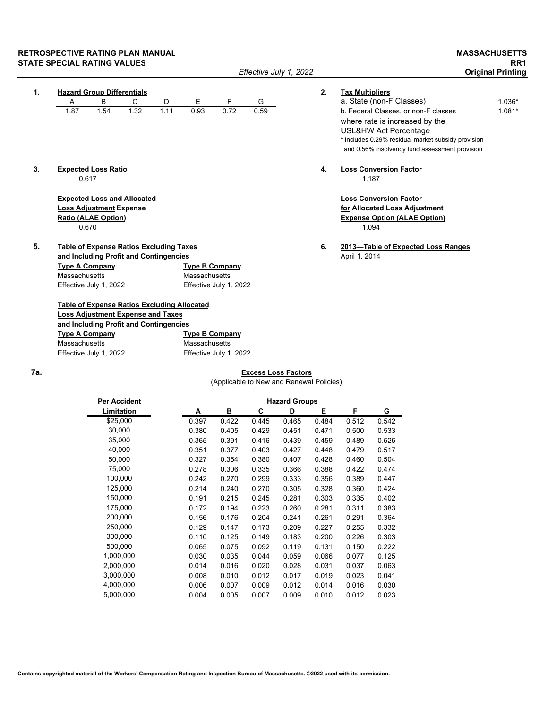# **RETROSPECTIVE RATING PLAN MANUAL MASSACHUSETTS STATE SPECIAL RATING VALUES**<br>Original Printing *RR1 Effective July 1, 2022* **RR1 Original Printing**

| $\mathbf{1}$ . |                       | <b>Hazard Group Differentials</b> |                                                    |      |                       |                        |      | 2. | <b>Tax Multipliers</b>                             |          |
|----------------|-----------------------|-----------------------------------|----------------------------------------------------|------|-----------------------|------------------------|------|----|----------------------------------------------------|----------|
|                | Α                     | B                                 | C                                                  | D    | E                     | F                      | G    |    | a. State (non-F Classes)                           | 1.036*   |
|                | 1.87                  | 1.54                              | 1.32                                               | 1.11 | 0.93                  | 0.72                   | 0.59 |    | b. Federal Classes, or non-F classes               | $1.081*$ |
|                |                       |                                   |                                                    |      |                       |                        |      |    | where rate is increased by the                     |          |
|                |                       |                                   |                                                    |      |                       |                        |      |    | USL&HW Act Percentage                              |          |
|                |                       |                                   |                                                    |      |                       |                        |      |    | * Includes 0.29% residual market subsidy provision |          |
|                |                       |                                   |                                                    |      |                       |                        |      |    | and 0.56% insolvency fund assessment provision     |          |
| 3.             |                       | <b>Expected Loss Ratio</b>        |                                                    |      |                       |                        |      | 4. | <b>Loss Conversion Factor</b>                      |          |
|                |                       | 0.617                             |                                                    |      |                       |                        |      |    | 1.187                                              |          |
|                |                       |                                   | <b>Expected Loss and Allocated</b>                 |      |                       |                        |      |    | <b>Loss Conversion Factor</b>                      |          |
|                |                       | <b>Loss Adjustment Expense</b>    |                                                    |      |                       |                        |      |    | for Allocated Loss Adjustment                      |          |
|                |                       | <b>Ratio (ALAE Option)</b>        |                                                    |      |                       |                        |      |    | <b>Expense Option (ALAE Option)</b>                |          |
|                |                       | 0.670                             |                                                    |      |                       |                        |      |    | 1.094                                              |          |
| 5.             |                       |                                   | <b>Table of Expense Ratios Excluding Taxes</b>     |      |                       |                        |      | 6. | 2013-Table of Expected Loss Ranges                 |          |
|                |                       |                                   | and Including Profit and Contingencies             |      |                       |                        |      |    | April 1, 2014                                      |          |
|                | <b>Type A Company</b> |                                   |                                                    |      | <b>Type B Company</b> |                        |      |    |                                                    |          |
|                | Massachusetts         |                                   |                                                    |      | Massachusetts         |                        |      |    |                                                    |          |
|                |                       | Effective July 1, 2022            |                                                    |      |                       | Effective July 1, 2022 |      |    |                                                    |          |
|                |                       |                                   | <b>Table of Expense Ratios Excluding Allocated</b> |      |                       |                        |      |    |                                                    |          |
|                |                       |                                   | <b>Loss Adjustment Expense and Taxes</b>           |      |                       |                        |      |    |                                                    |          |
|                |                       |                                   | and Including Profit and Contingencies             |      |                       |                        |      |    |                                                    |          |
|                | <b>Type A Company</b> |                                   |                                                    |      | <b>Type B Company</b> |                        |      |    |                                                    |          |
|                |                       |                                   |                                                    |      |                       |                        |      |    |                                                    |          |

*Effective July 1, 2022* 

Massachusetts Massachusetts Effective July 1, 2022 Effective July 1, 2022

# **7a. Excess Loss Factors**

(Applicable to New and Renewal Policies)

| <b>Per Accident</b> | <b>Hazard Groups</b> |       |       |       |       |       |       |  |  |
|---------------------|----------------------|-------|-------|-------|-------|-------|-------|--|--|
| Limitation          | A                    | в     | C     | D     | Е     | F     | G     |  |  |
| \$25,000            | 0.397                | 0.422 | 0.445 | 0.465 | 0.484 | 0.512 | 0.542 |  |  |
| 30,000              | 0.380                | 0.405 | 0.429 | 0.451 | 0.471 | 0.500 | 0.533 |  |  |
| 35,000              | 0.365                | 0.391 | 0.416 | 0.439 | 0.459 | 0.489 | 0.525 |  |  |
| 40,000              | 0.351                | 0.377 | 0.403 | 0.427 | 0.448 | 0.479 | 0.517 |  |  |
| 50,000              | 0.327                | 0.354 | 0.380 | 0.407 | 0.428 | 0.460 | 0.504 |  |  |
| 75,000              | 0.278                | 0.306 | 0.335 | 0.366 | 0.388 | 0.422 | 0.474 |  |  |
| 100,000             | 0.242                | 0.270 | 0.299 | 0.333 | 0.356 | 0.389 | 0.447 |  |  |
| 125,000             | 0.214                | 0.240 | 0.270 | 0.305 | 0.328 | 0.360 | 0.424 |  |  |
| 150,000             | 0.191                | 0.215 | 0.245 | 0.281 | 0.303 | 0.335 | 0.402 |  |  |
| 175,000             | 0.172                | 0.194 | 0.223 | 0.260 | 0.281 | 0.311 | 0.383 |  |  |
| 200,000             | 0.156                | 0.176 | 0.204 | 0.241 | 0.261 | 0.291 | 0.364 |  |  |
| 250,000             | 0.129                | 0.147 | 0.173 | 0.209 | 0.227 | 0.255 | 0.332 |  |  |
| 300,000             | 0.110                | 0.125 | 0.149 | 0.183 | 0.200 | 0.226 | 0.303 |  |  |
| 500,000             | 0.065                | 0.075 | 0.092 | 0.119 | 0.131 | 0.150 | 0.222 |  |  |
| 1,000,000           | 0.030                | 0.035 | 0.044 | 0.059 | 0.066 | 0.077 | 0.125 |  |  |
| 2,000,000           | 0.014                | 0.016 | 0.020 | 0.028 | 0.031 | 0.037 | 0.063 |  |  |
| 3,000,000           | 0.008                | 0.010 | 0.012 | 0.017 | 0.019 | 0.023 | 0.041 |  |  |
| 4,000,000           | 0.006                | 0.007 | 0.009 | 0.012 | 0.014 | 0.016 | 0.030 |  |  |
| 5,000,000           | 0.004                | 0.005 | 0.007 | 0.009 | 0.010 | 0.012 | 0.023 |  |  |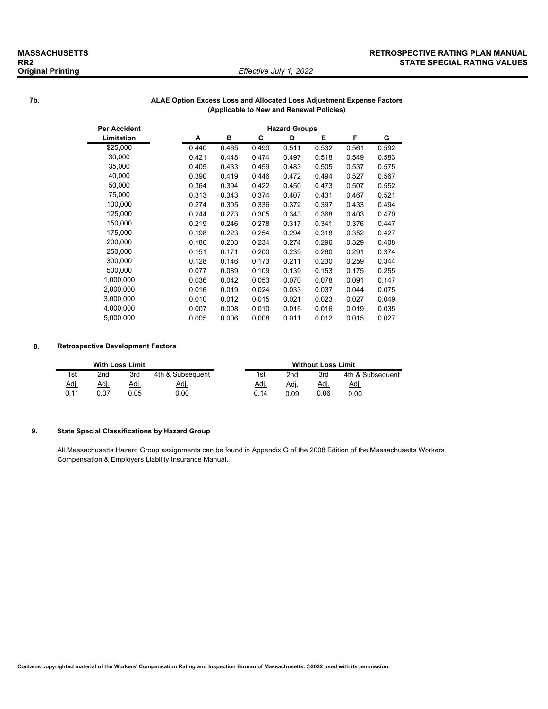# *Effective July 1, 2022*

## **MASSACHUSETTS RETROSPECTIVE RATING PLAN MANUAL STATE SPECIAL RATING VALUES**

## **7b. ALAE Option Excess Loss and Allocated Loss Adjustment Expense Factors (Applicable to New and Renewal Policies)**

| Per Accident | <b>Hazard Groups</b> |       |       |       |       |       |       |  |  |
|--------------|----------------------|-------|-------|-------|-------|-------|-------|--|--|
| Limitation   | A                    | в     | С     | D     | Е     | F     | G     |  |  |
| \$25,000     | 0.440                | 0.465 | 0.490 | 0.511 | 0.532 | 0.561 | 0.592 |  |  |
| 30,000       | 0.421                | 0.448 | 0.474 | 0.497 | 0.518 | 0.549 | 0.583 |  |  |
| 35,000       | 0.405                | 0.433 | 0.459 | 0.483 | 0.505 | 0.537 | 0.575 |  |  |
| 40,000       | 0.390                | 0.419 | 0.446 | 0.472 | 0.494 | 0.527 | 0.567 |  |  |
| 50,000       | 0.364                | 0.394 | 0.422 | 0.450 | 0.473 | 0.507 | 0.552 |  |  |
| 75,000       | 0.313                | 0.343 | 0.374 | 0.407 | 0.431 | 0.467 | 0.521 |  |  |
| 100,000      | 0.274                | 0.305 | 0.336 | 0.372 | 0.397 | 0.433 | 0.494 |  |  |
| 125,000      | 0.244                | 0.273 | 0.305 | 0.343 | 0.368 | 0.403 | 0.470 |  |  |
| 150,000      | 0.219                | 0.246 | 0.278 | 0.317 | 0.341 | 0.376 | 0.447 |  |  |
| 175,000      | 0.198                | 0.223 | 0.254 | 0.294 | 0.318 | 0.352 | 0.427 |  |  |
| 200,000      | 0.180                | 0.203 | 0.234 | 0.274 | 0.296 | 0.329 | 0.408 |  |  |
| 250,000      | 0.151                | 0.171 | 0.200 | 0.239 | 0.260 | 0.291 | 0.374 |  |  |
| 300,000      | 0.128                | 0.146 | 0.173 | 0.211 | 0.230 | 0.259 | 0.344 |  |  |
| 500,000      | 0.077                | 0.089 | 0.109 | 0.139 | 0.153 | 0.175 | 0.255 |  |  |
| 1,000,000    | 0.036                | 0.042 | 0.053 | 0.070 | 0.078 | 0.091 | 0.147 |  |  |
| 2,000,000    | 0.016                | 0.019 | 0.024 | 0.033 | 0.037 | 0.044 | 0.075 |  |  |
| 3,000,000    | 0.010                | 0.012 | 0.015 | 0.021 | 0.023 | 0.027 | 0.049 |  |  |
| 4,000,000    | 0.007                | 0.008 | 0.010 | 0.015 | 0.016 | 0.019 | 0.035 |  |  |
| 5,000,000    | 0.005                | 0.006 | 0.008 | 0.011 | 0.012 | 0.015 | 0.027 |  |  |

### **8. Retrospective Development Factors**

|             |      | <b>With Loss Limit</b> |                  |             |      | <b>Without Loss Limit</b> |                  |
|-------------|------|------------------------|------------------|-------------|------|---------------------------|------------------|
| 1st         | 2nd  | 3rd                    | 4th & Subsequent | 1st         | 2nd  | 3rd                       | 4th & Subsequent |
| <u>Adj.</u> | Adj. | Adj.                   | <u>Adi</u>       | <u>Adj.</u> | Adj. | Adj.                      | Adj.             |
| 0.11        | 0.07 | ን 05                   | 0.00             | 0.14        | 0.09 | 0.06                      | 0.00             |

# **9. State Special Classifications by Hazard Group**

All Massachusetts Hazard Group assignments can be found in Appendix G of the 2008 Edition of the Massachusetts Workers' Compensation & Employers Liability Insurance Manual.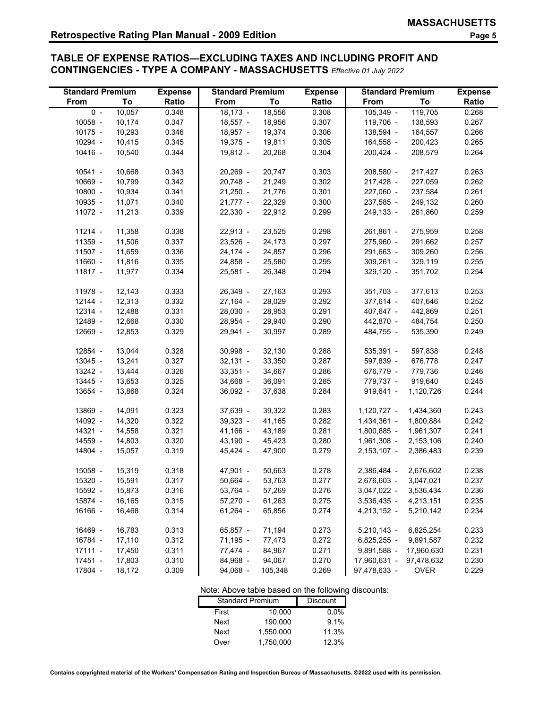# **TABLE OF EXPENSE RATIOS—EXCLUDING TAXES AND INCLUDING PROFIT AND CONTINGENCIES - TYPE A COMPANY - MASSACHUSETTS** *Effective 01 July 2022*

| <b>Standard Premium</b> |        | <b>Expense</b> | <b>Standard Premium</b> |         | <b>Expense</b> | <b>Standard Premium</b> |             | <b>Expense</b> |
|-------------------------|--------|----------------|-------------------------|---------|----------------|-------------------------|-------------|----------------|
| From                    | To     | Ratio          | From                    | To      | Ratio          | From                    | To          | Ratio          |
| $0 -$                   | 10,057 | 0.348          | $18,173 -$              | 18,556  | 0.308          | 105,349 -               | 119,705     | 0.268          |
| $10058 -$               | 10,174 | 0.347          | $18,557 -$              | 18,956  | 0.307          | 119,706 -               | 138,593     | 0.267          |
| 10175 -                 | 10,293 | 0.346          | 18,957 -                | 19,374  | 0.306          | 138,594 -               | 164,557     | 0.266          |
| 10294 -                 | 10,415 | 0.345          | 19,375 -                | 19,811  | 0.305          | 164,558 -               | 200,423     | 0.265          |
| 10416 -                 | 10,540 | 0.344          | $19,812 -$              | 20,268  | 0.304          | 200,424 -               | 208,579     | 0.264          |
|                         |        |                |                         |         |                |                         |             |                |
| 10541 -                 | 10,668 | 0.343          | $20,269 -$              | 20,747  | 0.303          | 208,580 -               | 217,427     | 0.263          |
| 10669 -                 | 10,799 | 0.342          | $20,748 -$              | 21,249  | 0.302          | 217,428 -               | 227,059     | 0.262          |
| $10800 -$               | 10,934 | 0.341          | $21,250 -$              | 21,776  | 0.301          | 227,060 -               | 237,584     | 0.261          |
| 10935 -                 | 11,071 | 0.340          | $21,777 -$              | 22,329  | 0.300          | 237,585 -               | 249,132     | 0.260          |
| 11072 -                 | 11,213 | 0.339          | $22,330 -$              | 22,912  | 0.299          | 249,133 -               | 261,860     | 0.259          |
|                         |        |                |                         |         |                |                         |             |                |
| 11214 -                 | 11,358 | 0.338          | $22,913 -$              | 23,525  | 0.298          | 261,861 -               | 275,959     | 0.258          |
| 11359 -                 | 11,506 | 0.337          | $23,526 -$              | 24,173  | 0.297          | 275,960 -               | 291,662     | 0.257          |
| 11507 -                 | 11,659 | 0.336          | $24,174 -$              | 24,857  | 0.296          | 291,663 -               | 309,260     | 0.256          |
| 11660 -                 | 11,816 | 0.335          | 24,858 -                | 25,580  | 0.295          | $309,261 -$             | 329,119     | 0.255          |
| 11817 -                 | 11,977 | 0.334          | $25,581 -$              | 26,348  | 0.294          | 329,120 -               | 351,702     | 0.254          |
|                         |        |                |                         |         |                |                         |             |                |
| 11978 -                 | 12,143 | 0.333          | 26,349 -                | 27,163  | 0.293          | 351,703 -               | 377,613     | 0.253          |
| 12144 -                 | 12,313 | 0.332          | $27,164 -$              | 28,029  | 0.292          | 377,614 -               | 407,646     | 0.252          |
| 12314 -                 | 12,488 | 0.331          | $28,030 -$              | 28,953  | 0.291          | 407,647 -               | 442,869     | 0.251          |
| 12489 -                 | 12,668 | 0.330          | 28,954 -                | 29,940  | 0.290          | 442,870 -               | 484,754     | 0.250          |
| 12669 -                 | 12,853 | 0.329          | 29,941 -                | 30,997  | 0.289          | 484,755 -               | 535,390     | 0.249          |
|                         |        |                |                         |         |                |                         |             |                |
| 12854 -                 | 13,044 | 0.328          | 30,998 -                | 32,130  | 0.288          | 535,391 -               | 597,838     | 0.248          |
| 13045 -                 | 13,241 | 0.327          | $32,131 -$              | 33,350  | 0.287          | 597,839 -               | 676,778     | 0.247          |
| 13242 -                 | 13,444 | 0.326          | $33,351 -$              | 34,667  | 0.286          | 676,779 -               | 779,736     | 0.246          |
| 13445 -                 | 13,653 | 0.325          | 34,668 -                | 36,091  | 0.285          | 779,737 -               | 919,640     | 0.245          |
| 13654 -                 | 13,868 | 0.324          | $36,092 -$              | 37,638  | 0.284          | $919,641 -$             | 1,120,726   | 0.244          |
| 13869 -                 | 14,091 | 0.323          | 37,639 -                | 39,322  | 0.283          | 1,120,727 -             | 1,434,360   | 0.243          |
| 14092 -                 | 14,320 | 0.322          | $39,323 -$              | 41,165  | 0.282          | 1,434,361 -             | 1,800,884   | 0.242          |
| 14321 -                 | 14,558 | 0.321          | $41,166 -$              | 43,189  | 0.281          | 1,800,885 -             | 1,961,307   | 0.241          |
| 14559 -                 | 14,803 | 0.320          | $43,190 -$              | 45,423  | 0.280          | 1,961,308 -             | 2,153,106   | 0.240          |
| 14804 -                 | 15,057 | 0.319          | $45,424 -$              | 47,900  | 0.279          | 2,153,107 -             | 2,386,483   | 0.239          |
|                         |        |                |                         |         |                |                         |             |                |
| 15058 -                 | 15,319 | 0.318          | 47,901 -                | 50,663  | 0.278          | 2,386,484 -             | 2,676,602   | 0.238          |
| 15320 -                 | 15,591 | 0.317          | 50,664 -                | 53,763  | 0.277          | 2,676,603 -             | 3,047,021   | 0.237          |
| 15592 -                 | 15,873 | 0.316          | 53,764 -                | 57,269  | 0.276          | 3,047,022 -             | 3,536,434   | 0.236          |
| 15874 -                 | 16,165 | 0.315          | $57,270 -$              | 61,263  | 0.275          | 3,536,435 -             | 4,213,151   | 0.235          |
| 16166 -                 | 16,468 | 0.314          | $61,264 -$              | 65,856  | 0.274          | 4,213,152 -             | 5,210,142   | 0.234          |
|                         |        |                |                         |         |                |                         |             |                |
| 16469 -                 | 16,783 | 0.313          | 65,857 -                | 71,194  | 0.273          | $5,210,143 -$           | 6,825,254   | 0.233          |
| 16784 -                 | 17,110 | 0.312          | 71,195 -                | 77,473  | 0.272          | $6,825,255 -$           | 9,891,587   | 0.232          |
| $17111 -$               | 17,450 | 0.311          | 77,474 -                | 84,967  | 0.271          | 9,891,588 -             | 17,960,630  | 0.231          |
| 17451 -                 | 17,803 | 0.310          | 84,968 -                | 94,067  | 0.270          | 17,960,631 -            | 97,478,632  | 0.230          |
| 17804 -                 | 18,172 | 0.309          | 94,068 -                | 105,348 | 0.269          | 97,478,633 -            | <b>OVER</b> | 0.229          |

# Note: Above table based on the following discounts:<br>Standard Premium Discount

| <b>Standard Premium</b> | <b>Discount</b> |         |
|-------------------------|-----------------|---------|
| First                   | 10.000          | $0.0\%$ |
| Next                    | 190.000         | 9.1%    |
| Next                    | 1.550.000       | 11.3%   |
| Over                    | 1.750.000       | 12.3%   |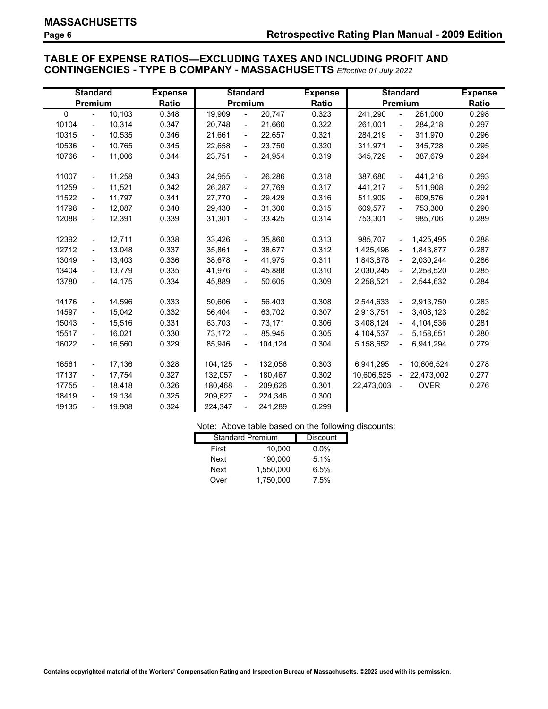# **TABLE OF EXPENSE RATIOS—EXCLUDING TAXES AND INCLUDING PROFIT AND CONTINGENCIES - TYPE B COMPANY - MASSACHUSETTS** *Effective 01 July 2022*

|          | <b>Standard</b>          |        | <b>Expense</b> |         | <b>Standard</b>          |         | <b>Expense</b> |            |                          | <b>Standard</b> | <b>Expense</b> |
|----------|--------------------------|--------|----------------|---------|--------------------------|---------|----------------|------------|--------------------------|-----------------|----------------|
|          | Premium                  |        | <b>Ratio</b>   |         | Premium                  |         | Ratio          |            |                          | Premium         | Ratio          |
| $\Omega$ | $\blacksquare$           | 10,103 | 0.348          | 19,909  | $\blacksquare$           | 20,747  | 0.323          | 241,290    | $\blacksquare$           | 261,000         | 0.298          |
| 10104    | $\blacksquare$           | 10,314 | 0.347          | 20,748  | $\blacksquare$           | 21,660  | 0.322          | 261,001    | $\overline{\phantom{a}}$ | 284,218         | 0.297          |
| 10315    | $\blacksquare$           | 10,535 | 0.346          | 21,661  | $\blacksquare$           | 22,657  | 0.321          | 284,219    | $\blacksquare$           | 311,970         | 0.296          |
| 10536    | $\blacksquare$           | 10,765 | 0.345          | 22,658  | $\blacksquare$           | 23,750  | 0.320          | 311,971    | $\blacksquare$           | 345,728         | 0.295          |
| 10766    | $\blacksquare$           | 11,006 | 0.344          | 23,751  | $\blacksquare$           | 24,954  | 0.319          | 345,729    | $\frac{1}{2}$            | 387,679         | 0.294          |
|          |                          |        |                |         |                          |         |                |            |                          |                 |                |
| 11007    | $\blacksquare$           | 11,258 | 0.343          | 24,955  | $\blacksquare$           | 26,286  | 0.318          | 387,680    | $\blacksquare$           | 441,216         | 0.293          |
| 11259    | $\blacksquare$           | 11,521 | 0.342          | 26,287  | $\blacksquare$           | 27,769  | 0.317          | 441,217    | $\blacksquare$           | 511,908         | 0.292          |
| 11522    | $\blacksquare$           | 11,797 | 0.341          | 27,770  | $\blacksquare$           | 29,429  | 0.316          | 511,909    | $\overline{\phantom{0}}$ | 609,576         | 0.291          |
| 11798    | $\blacksquare$           | 12,087 | 0.340          | 29,430  | $\blacksquare$           | 31,300  | 0.315          | 609,577    | $\blacksquare$           | 753,300         | 0.290          |
| 12088    | $\overline{\phantom{a}}$ | 12,391 | 0.339          | 31,301  | $\blacksquare$           | 33,425  | 0.314          | 753,301    | $\blacksquare$           | 985,706         | 0.289          |
|          |                          |        |                |         |                          |         |                |            |                          |                 |                |
| 12392    | $\blacksquare$           | 12,711 | 0.338          | 33,426  | $\blacksquare$           | 35.860  | 0.313          | 985,707    | $\blacksquare$           | 1,425,495       | 0.288          |
| 12712    | $\blacksquare$           | 13,048 | 0.337          | 35,861  | $\blacksquare$           | 38,677  | 0.312          | 1,425,496  | $\blacksquare$           | 1,843,877       | 0.287          |
| 13049    | $\blacksquare$           | 13,403 | 0.336          | 38,678  | $\blacksquare$           | 41,975  | 0.311          | 1,843,878  | $\sim$                   | 2,030,244       | 0.286          |
| 13404    | $\blacksquare$           | 13,779 | 0.335          | 41,976  | $\blacksquare$           | 45,888  | 0.310          | 2,030,245  | $\blacksquare$           | 2,258,520       | 0.285          |
| 13780    | $\blacksquare$           | 14,175 | 0.334          | 45,889  | $\blacksquare$           | 50,605  | 0.309          | 2,258,521  | $\blacksquare$           | 2,544,632       | 0.284          |
|          |                          |        |                |         |                          |         |                |            |                          |                 |                |
| 14176    | $\blacksquare$           | 14,596 | 0.333          | 50,606  | $\blacksquare$           | 56,403  | 0.308          | 2,544,633  | $\omega$                 | 2,913,750       | 0.283          |
| 14597    | $\blacksquare$           | 15,042 | 0.332          | 56,404  | $\blacksquare$           | 63,702  | 0.307          | 2,913,751  | $\omega$                 | 3,408,123       | 0.282          |
| 15043    | $\blacksquare$           | 15,516 | 0.331          | 63,703  | $\blacksquare$           | 73,171  | 0.306          | 3,408,124  | $\blacksquare$           | 4,104,536       | 0.281          |
| 15517    | $\blacksquare$           | 16,021 | 0.330          | 73,172  | $\blacksquare$           | 85,945  | 0.305          | 4,104,537  | $\blacksquare$           | 5,158,651       | 0.280          |
| 16022    | $\blacksquare$           | 16,560 | 0.329          | 85,946  | $\blacksquare$           | 104,124 | 0.304          | 5,158,652  | $\blacksquare$           | 6,941,294       | 0.279          |
|          |                          |        |                |         |                          |         |                |            |                          |                 |                |
| 16561    | $\blacksquare$           | 17,136 | 0.328          | 104.125 | $\blacksquare$           | 132,056 | 0.303          | 6,941,295  | $\omega$                 | 10,606,524      | 0.278          |
| 17137    | $\blacksquare$           | 17,754 | 0.327          | 132,057 | $\blacksquare$           | 180,467 | 0.302          | 10,606,525 | $\blacksquare$           | 22,473,002      | 0.277          |
| 17755    | $\blacksquare$           | 18,418 | 0.326          | 180,468 | $\blacksquare$           | 209,626 | 0.301          | 22,473,003 | $\blacksquare$           | <b>OVER</b>     | 0.276          |
| 18419    | $\blacksquare$           | 19,134 | 0.325          | 209,627 | $\overline{\phantom{a}}$ | 224,346 | 0.300          |            |                          |                 |                |
| 19135    | $\blacksquare$           | 19,908 | 0.324          | 224,347 | $\overline{\phantom{a}}$ | 241,289 | 0.299          |            |                          |                 |                |

### Note: Above table based on the following discounts:

| <b>Standard Premium</b> | <b>Discount</b> |         |
|-------------------------|-----------------|---------|
| First                   | 10.000          | $0.0\%$ |
| <b>Next</b>             | 190.000         | 5.1%    |
| <b>Next</b>             | 1.550.000       | 6.5%    |
| Over                    | 1.750.000       | 7.5%    |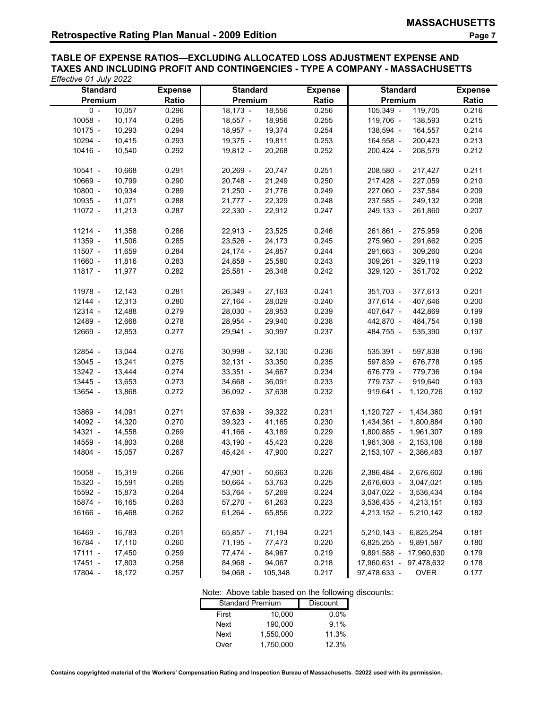**TABLE OF EXPENSE RATIOS—EXCLUDING ALLOCATED LOSS ADJUSTMENT EXPENSE AND TAXES AND INCLUDING PROFIT AND CONTINGENCIES - TYPE A COMPANY - MASSACHUSETTS**  *Effective 01 July 2022*

| <b>Standard</b>   | <b>Expense</b> | <b>Standard</b>       | <b>Expense</b> | <b>Standard</b>             | <b>Expense</b> |
|-------------------|----------------|-----------------------|----------------|-----------------------------|----------------|
| Premium           | Ratio          | Premium               | <b>Ratio</b>   | Premium                     | Ratio          |
| 10,057<br>$0 -$   | 0.296          | $18,173 -$<br>18,556  | 0.256          | 119,705<br>105,349 -        | 0.216          |
| 10058 -<br>10,174 | 0.295          | $18,557 -$<br>18,956  | 0.255          | 119,706 -<br>138,593        | 0.215          |
| 10175 -<br>10,293 | 0.294          | 19,374<br>$18,957 -$  | 0.254          | 138,594 -<br>164,557        | 0.214          |
| 10294 -<br>10,415 | 0.293          | $19,375 -$<br>19,811  | 0.253          | 164,558 -<br>200,423        | 0.213          |
| 10416 -<br>10,540 | 0.292          | $19,812 -$<br>20,268  | 0.252          | 200,424 -<br>208,579        | 0.212          |
|                   |                |                       |                |                             |                |
| 10541 -<br>10,668 | 0.291          | $20,269 -$<br>20,747  | 0.251          | 208,580 -<br>217,427        | 0.211          |
| 10669 -<br>10,799 | 0.290          | 21,249<br>$20,748 -$  | 0.250          | 217,428 -<br>227,059        | 0.210          |
| 10800 -<br>10,934 | 0.289          | 21,776<br>$21,250 -$  | 0.249          | 227,060 -<br>237,584        | 0.209          |
| 10935 -<br>11,071 | 0.288          | $21,777 -$<br>22,329  | 0.248          | 237,585 -<br>249,132        | 0.208          |
| 11072 -<br>11,213 | 0.287          | $22,330 -$<br>22,912  | 0.247          | 249,133 -<br>261,860        | 0.207          |
|                   |                |                       |                |                             |                |
| 11214 -<br>11,358 | 0.286          | $22,913 -$<br>23,525  | 0.246          | 261,861 -<br>275,959        | 0.206          |
| 11359 -<br>11,506 | 0.285          | 24,173<br>$23,526 -$  | 0.245          | 275,960 -<br>291,662        | 0.205          |
| 11507 -<br>11,659 | 0.284          | 24,857<br>$24,174 -$  | 0.244          | 291,663 -<br>309,260        | 0.204          |
| 11660 -<br>11,816 | 0.283          | 24,858 -<br>25,580    | 0.243          | $309,261 -$<br>329,119      | 0.203          |
| 11817 -<br>11,977 | 0.282          | 26,348<br>$25,581 -$  | 0.242          | $329,120 -$<br>351,702      | 0.202          |
|                   |                |                       |                |                             |                |
| 11978 -<br>12,143 | 0.281          | 26,349 -<br>27,163    | 0.241          | $351,703 -$<br>377,613      | 0.201          |
| 12144 -<br>12,313 | 0.280          | $27,164 -$<br>28,029  | 0.240          | 377,614 -<br>407,646        | 0.200          |
| 12314 -<br>12,488 | 0.279          | $28,030 -$<br>28,953  | 0.239          | 407,647 -<br>442,869        | 0.199          |
| 12489 -<br>12,668 | 0.278          | 28,954 -<br>29,940    | 0.238          | 442,870 -<br>484,754        | 0.198          |
| 12669 -<br>12,853 | 0.277          | $29,941 -$<br>30,997  | 0.237          | 484,755 -<br>535,390        | 0.197          |
|                   |                |                       |                |                             |                |
| 12854 -<br>13,044 | 0.276          | 32,130<br>$30,998 -$  | 0.236          | 535,391 -<br>597,838        | 0.196          |
| 13045 -<br>13,241 | 0.275          | 33,350<br>$32,131 -$  | 0.235          | 597,839 -<br>676,778        | 0.195          |
| 13242 -<br>13,444 | 0.274          | 34,667<br>$33,351 -$  | 0.234          | 676,779 -<br>779,736        | 0.194          |
| 13445 -<br>13,653 | 0.273          | 34,668 -<br>36,091    | 0.233          | 779,737 -<br>919,640        | 0.193          |
| 13654 -<br>13,868 | 0.272          | $36,092 -$<br>37,638  | 0.232          | $919,641 -$<br>1,120,726    | 0.192          |
|                   |                |                       |                |                             |                |
| 13869 -<br>14,091 | 0.271          | 37,639 -<br>39,322    | 0.231          | 1,120,727 -<br>1,434,360    | 0.191          |
| 14,320<br>14092 - | 0.270          | 41,165<br>$39,323 -$  | 0.230          | 1,800,884<br>1,434,361 -    | 0.190          |
| 14321 -<br>14,558 | 0.269          | $41,166 -$<br>43,189  | 0.229          | 1,800,885 -<br>1,961,307    | 0.189          |
| 14559 -<br>14,803 | 0.268          | 45,423<br>$43,190 -$  | 0.228          | 1,961,308 -<br>2,153,106    | 0.188          |
| 14804 -<br>15,057 | 0.267          | 45,424 -<br>47,900    | 0.227          | 2,153,107 -<br>2,386,483    | 0.187          |
|                   |                |                       |                |                             |                |
| 15058 -<br>15,319 | 0.266          | 47,901 -<br>50,663    | 0.226          | 2,386,484 - 2,676,602       | 0.186          |
| 15320 -<br>15,591 | 0.265          | $50,664 -$<br>53,763  | 0.225          | 2,676,603 -<br>3,047,021    | 0.185          |
| 15592 -<br>15,873 | 0.264          | 53,764 -<br>57,269    | 0.224          | 3,047,022 - 3,536,434       | 0.184          |
| 15874 -<br>16,165 | 0.263          | $57,270 -$<br>61,263  | 0.223          | 3,536,435 - 4,213,151       | 0.183          |
| 16166 -<br>16,468 | 0.262          | $61,264 -$<br>65,856  | 0.222          | 4,213,152 - 5,210,142       | 0.182          |
|                   |                |                       |                |                             |                |
| 16469 -<br>16,783 | 0.261          | 65,857 -<br>71,194    | 0.221          | 5,210,143 - 6,825,254       | 0.181          |
| 16784 -<br>17,110 | 0.260          | $71,195 -$<br>77,473  | 0.220          | 6,825,255 - 9,891,587       | 0.180          |
| 17111 -<br>17,450 | 0.259          | 77,474 -<br>84,967    | 0.219          | 9,891,588 - 17,960,630      | 0.179          |
| 17451 -<br>17,803 | 0.258          | 84,968 -<br>94,067    | 0.218          | 17,960,631 - 97,478,632     | 0.178          |
| 17804 -<br>18,172 | 0.257          | $94,068 -$<br>105,348 | 0.217          | 97,478,633 -<br><b>OVER</b> | 0.177          |
|                   |                |                       |                |                             |                |

| Note: Above table based on the following discounts: |                         |                 |  |  |  |
|-----------------------------------------------------|-------------------------|-----------------|--|--|--|
|                                                     | <b>Standard Premium</b> | <b>Discount</b> |  |  |  |
| First                                               | 10,000                  | $0.0\%$         |  |  |  |
| Next                                                | 190,000                 | 9.1%            |  |  |  |
| Next                                                | 1,550,000               | 11.3%           |  |  |  |
| Over                                                | 1,750,000               | 12.3%           |  |  |  |

**Contains copyrighted material of the Workers' Compensation Rating and Inspection Bureau of Massachusetts. ©2022 used with its permission.**